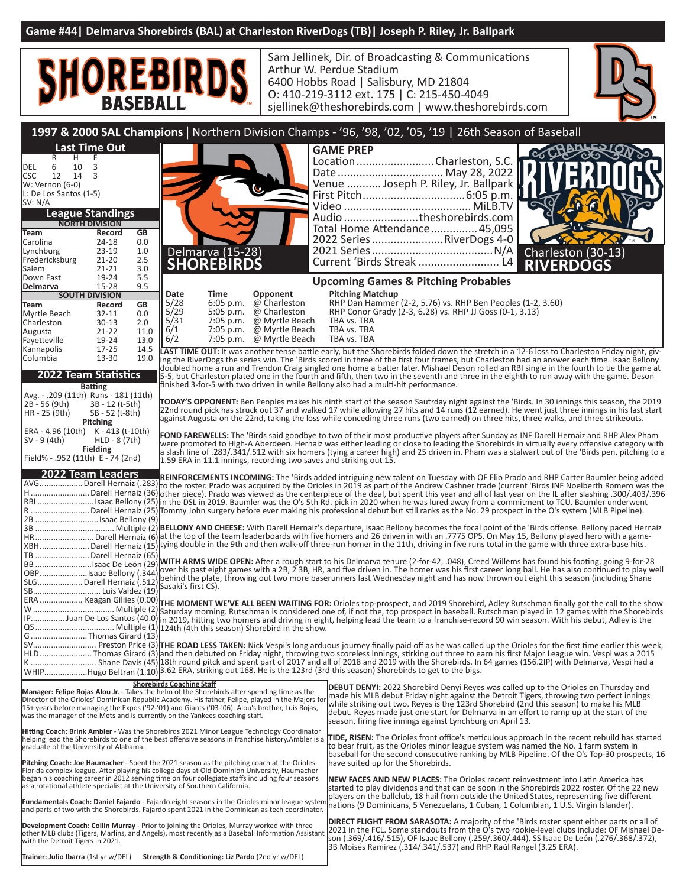

**Trainer: Julio Ibarra** (1st yr w/DEL) **Strength & Conditioning: Liz Pardo** (2nd yr w/DEL)

Sam Jellinek, Dir. of Broadcasting & Communications Arthur W. Perdue Stadium 6400 Hobbs Road | Salisbury, MD 21804 O: 410-219-3112 ext. 175 | C: 215-450-4049 sjellinek@theshorebirds.com | www.theshorebirds.com



|                                                                                                                                                                                                 |                                  |              |                                  |                                       |                                  | ן וווסופות שיכור באווסופאים של ה                                                                                                                                                                                                                                                                                                      |
|-------------------------------------------------------------------------------------------------------------------------------------------------------------------------------------------------|----------------------------------|--------------|----------------------------------|---------------------------------------|----------------------------------|---------------------------------------------------------------------------------------------------------------------------------------------------------------------------------------------------------------------------------------------------------------------------------------------------------------------------------------|
|                                                                                                                                                                                                 |                                  |              |                                  |                                       |                                  | 1997 & 2000 SAL Champions   Northern Division Champs - '96, '98, '02, '05, '19   26th Season of Baseball                                                                                                                                                                                                                              |
|                                                                                                                                                                                                 | <b>Last Time Out</b>             |              |                                  |                                       |                                  | <b>GAME PREP</b>                                                                                                                                                                                                                                                                                                                      |
| R<br>H                                                                                                                                                                                          | E                                |              |                                  |                                       |                                  | eXo<br>Location  Charleston, S.C.                                                                                                                                                                                                                                                                                                     |
| 6<br>10<br>DEL                                                                                                                                                                                  | 3                                |              |                                  |                                       |                                  | Date  May 28, 2022                                                                                                                                                                                                                                                                                                                    |
| <b>CSC</b><br>12 14<br>W: Vernon (6-0)                                                                                                                                                          | $\overline{3}$                   |              |                                  |                                       |                                  | Venue  Joseph P. Riley, Jr. Ballpark                                                                                                                                                                                                                                                                                                  |
| L: De Los Santos (1-5)                                                                                                                                                                          |                                  |              |                                  |                                       |                                  |                                                                                                                                                                                                                                                                                                                                       |
| SV: N/A                                                                                                                                                                                         |                                  |              |                                  |                                       |                                  |                                                                                                                                                                                                                                                                                                                                       |
|                                                                                                                                                                                                 | <b>League Standings</b>          |              |                                  |                                       |                                  | Audio theshorebirds.com                                                                                                                                                                                                                                                                                                               |
| Team                                                                                                                                                                                            | <b>NORTH DIVISION</b><br>Record  | GB           |                                  |                                       |                                  | Total Home Attendance 45,095                                                                                                                                                                                                                                                                                                          |
| Carolina                                                                                                                                                                                        | 24-18                            | 0.0          |                                  |                                       |                                  | 2022 Series  RiverDogs 4-0                                                                                                                                                                                                                                                                                                            |
| Lynchburg                                                                                                                                                                                       | $23-19$                          | 1.0          |                                  | Delmarva (15-28)<br><b>SHOREBIRDS</b> |                                  | Charleston (30-13)                                                                                                                                                                                                                                                                                                                    |
| Fredericksburg<br>Salem                                                                                                                                                                         | $21 - 20$<br>$21 - 21$           | 2.5<br>3.0   |                                  |                                       |                                  | <b>RIVERDOGS</b>                                                                                                                                                                                                                                                                                                                      |
| Down East                                                                                                                                                                                       | 19-24                            | 5.5          |                                  |                                       |                                  | <b>Upcoming Games &amp; Pitching Probables</b>                                                                                                                                                                                                                                                                                        |
| Delmarva                                                                                                                                                                                        | $15 - 28$                        | 9.5          |                                  |                                       |                                  |                                                                                                                                                                                                                                                                                                                                       |
| Team                                                                                                                                                                                            | <b>SOUTH DIVISION</b><br>Record  | GB           | Date<br>5/28                     | Time<br>$6:05$ p.m.                   | Opponent<br>@ Charleston         | <b>Pitching Matchup</b><br>RHP Dan Hammer (2-2, 5.76) vs. RHP Ben Peoples (1-2, 3.60)                                                                                                                                                                                                                                                 |
| Myrtle Beach                                                                                                                                                                                    | 32-11                            | 0.0          | $5/29$<br>$5/31$                 | 5:05 p.m.                             | @ Charleston                     | RHP Conor Grady (2-3, 6.28) vs. RHP JJ Goss (0-1, 3.13)                                                                                                                                                                                                                                                                               |
| Charleston                                                                                                                                                                                      | $30 - 13$                        | 2.0          | 6/1                              | 7:05 p.m.                             | @ Myrtle Beach                   | TBA vs. TBA<br>TBA vs. TBA                                                                                                                                                                                                                                                                                                            |
| Augusta<br>Fayetteville                                                                                                                                                                         | $21 - 22$<br>19-24               | 11.0<br>13.0 | 6/2                              | $7:05$ p.m.<br>7:05 p.m.              | @ Myrtle Beach<br>@ Myrtle Beach | TBA vs. TBA                                                                                                                                                                                                                                                                                                                           |
| Kannapolis                                                                                                                                                                                      | $17 - 25$                        | 14.5         |                                  |                                       |                                  | LAST TIME OUT: It was another tense battle early, but the Shorebirds folded down the stretch in a 12-6 loss to Charleston Friday night, giv-                                                                                                                                                                                          |
| Columbia                                                                                                                                                                                        | 13-30                            | 19.0         |                                  |                                       |                                  | ing the RiverDogs the series win. The 'Birds scored in three of the first four frames, but Charleston had an answer each time. Isaac Bellony                                                                                                                                                                                          |
|                                                                                                                                                                                                 | <b>2022 Team Statistics</b>      |              |                                  |                                       |                                  | doubled home a run and Trendon Craig singled one home a batter later. Mishael Deson rolled an RBI single in the fourth to tie the game at<br>5-5, but Charleston plated one in the fourth and fifth, then two in the seventh and three in the eighth to run away with the game. Deson                                                 |
|                                                                                                                                                                                                 | <b>Batting</b>                   |              |                                  |                                       |                                  | finished 3-for-5 with two driven in while Bellony also had a multi-hit performance.                                                                                                                                                                                                                                                   |
| Avg. - .209 (11th) Runs - 181 (11th)                                                                                                                                                            |                                  |              |                                  |                                       |                                  |                                                                                                                                                                                                                                                                                                                                       |
| 2B - 56 (9th)                                                                                                                                                                                   | 3B - 12 (t-5th)                  |              |                                  |                                       |                                  | TODAY'S OPPONENT: Ben Peoples makes his ninth start of the season Sautrday night against the 'Birds. In 30 innings this season, the 2019<br>22nd round pick has struck out 37 and walked 17 while allowing 27 hits and 14 runs (12 earned). He went just three innings in his last start                                              |
| HR - 25 (9th)                                                                                                                                                                                   | SB - 52 (t-8th)<br>Pitching      |              |                                  |                                       |                                  | against Augusta on the 22nd, taking the loss while conceding three runs (two earned) on three hits, three walks, and three strikeouts.                                                                                                                                                                                                |
| ERA - 4.96 (10th) K - 413 (t-10th)                                                                                                                                                              |                                  |              |                                  |                                       |                                  | FOND FAREWELLS: The 'Birds said goodbye to two of their most productive players after Sunday as INF Darell Hernaiz and RHP Alex Pham                                                                                                                                                                                                  |
| SV - 9 (4th)                                                                                                                                                                                    | HLD - 8 (7th)<br><b>Fielding</b> |              |                                  |                                       |                                  | were promoted to High-A Aberdeen. Hernaiz was either leading or close to leading the Shorebirds in virtually every offensive category with                                                                                                                                                                                            |
| Field% - .952 (11th) E - 74 (2nd)                                                                                                                                                               |                                  |              |                                  |                                       |                                  | a slash line of .283/.341/.512 with six homers (tying a career high) and 25 driven in. Pham was a stalwart out of the 'Birds pen, pitching to a<br>1.59 ERA in 11.1 innings, recording two saves and striking out 15.                                                                                                                 |
|                                                                                                                                                                                                 | <b>2022 Team Leaders</b>         |              |                                  |                                       |                                  |                                                                                                                                                                                                                                                                                                                                       |
|                                                                                                                                                                                                 |                                  |              |                                  |                                       |                                  | REINFORCEMENTS INCOMING: The 'Birds added intriguing new talent on Tuesday with OF Elio Prado and RHP Carter Baumler being added<br>AVGDarell Hernaiz (.283) to the roster. Prado was acquired by the Orioles in 2019 as part of the Andrew Cashner trade (current 'Birds INF Noelberth Romero was the                                |
|                                                                                                                                                                                                 |                                  |              |                                  |                                       |                                  | H Darell Hernaiz (36) other piece). Prado was viewed as the centerpiece of the deal, but spent this year and all of last year on the IL after slashing .300/.403/.396                                                                                                                                                                 |
|                                                                                                                                                                                                 |                                  |              |                                  |                                       |                                  | RBI Isaac Bellony (25) in the DSL in 2019. Baumler was the O's 5th Rd. pick in 2020 when he was lured away from a commitment to TCU. Baumler underwent                                                                                                                                                                                |
| 2B  Isaac Bellony (9)                                                                                                                                                                           |                                  |              |                                  |                                       |                                  | R Darell Hernaiz (25) Tommy John surgery before ever making his professional debut but still ranks as the No. 29 prospect in the O's system (MLB Pipeline).                                                                                                                                                                           |
|                                                                                                                                                                                                 |                                  |              |                                  |                                       |                                  |                                                                                                                                                                                                                                                                                                                                       |
|                                                                                                                                                                                                 |                                  |              |                                  |                                       |                                  | XBHDarell Hernaiz (15) tying double in the 9th and then walk-off three-run homer in the 11th, driving in five runs total in the game with three extra-base hits.                                                                                                                                                                      |
| TB  Darell Hernaiz (65)                                                                                                                                                                         |                                  |              |                                  |                                       |                                  |                                                                                                                                                                                                                                                                                                                                       |
|                                                                                                                                                                                                 |                                  |              |                                  |                                       |                                  | BB saac De León (29) WITH ARMS WIDE OPEN: After a rough start to his Delmarva tenure (2-for-42, .048), Creed Willems has found his footing, going 9-for-28                                                                                                                                                                            |
|                                                                                                                                                                                                 |                                  |              |                                  |                                       |                                  |                                                                                                                                                                                                                                                                                                                                       |
|                                                                                                                                                                                                 |                                  |              |                                  |                                       |                                  |                                                                                                                                                                                                                                                                                                                                       |
|                                                                                                                                                                                                 |                                  |              |                                  |                                       |                                  | ERA  Keagan Gillies (0.00) THE MOMENT WE'VE ALL BEEN WAITING FOR: Orioles top-prospect, and 2019 Shorebird, Adley Rutschman finally got the call to the show                                                                                                                                                                          |
|                                                                                                                                                                                                 |                                  |              |                                  |                                       |                                  |                                                                                                                                                                                                                                                                                                                                       |
|                                                                                                                                                                                                 |                                  |              |                                  |                                       |                                  |                                                                                                                                                                                                                                                                                                                                       |
| G  Thomas Girard (13)                                                                                                                                                                           |                                  |              |                                  |                                       |                                  |                                                                                                                                                                                                                                                                                                                                       |
|                                                                                                                                                                                                 |                                  |              |                                  |                                       |                                  | SV Preston Price (3) THE ROAD LESS TAKEN: Nick Vespi's long arduous journey finally paid off as he was called up the Orioles for the first time earlier this week,<br>HLD Thomas Girard (3) and then debuted on Friday night, throwing two scoreless innings, stirking out three to earn his first Major League win. Vespi was a 2015 |
|                                                                                                                                                                                                 |                                  |              |                                  |                                       |                                  | K  Shane Davis (45) 18th round pitck and spent part of 2017 and all of 2018 and 2019 with the Shorebirds. In 64 games (156.2IP) with Delmarva, Vespi had a                                                                                                                                                                            |
|                                                                                                                                                                                                 |                                  |              |                                  |                                       |                                  | WHIPHugo Beltran (1.10) 3.62 ERA, striking out 168. He is the 123rd (3rd this season) Shorebirds to get to the bigs.                                                                                                                                                                                                                  |
| Manager: Felipe Rojas Alou Jr. - Takes the helm of the Shorebirds after spending time as the                                                                                                    |                                  |              | <b>Shorebirds Coaching Staff</b> |                                       |                                  | <b>DEBUT DENYI:</b> 2022 Shorebird Denyi Reyes was called up to the Orioles on Thursday and                                                                                                                                                                                                                                           |
| Director of the Orioles' Dominican Republic Academy. His father, Felipe, played in the Majors fo                                                                                                |                                  |              |                                  |                                       |                                  | made his MLB debut Friday night against the Detroit Tigers, throwing two perfect innings<br>while striking out two. Reyes is the 123rd Shorebird (2nd this season) to make his MLB                                                                                                                                                    |
| 15+ years before managing the Expos ('92-'01) and Giants ('03-'06). Alou's brother, Luis Rojas,<br>was the manager of the Mets and is currently on the Yankees coaching staff.                  |                                  |              |                                  |                                       |                                  | debut. Reyes made just one start for Delmarva in an effort to ramp up at the start of the                                                                                                                                                                                                                                             |
|                                                                                                                                                                                                 |                                  |              |                                  |                                       |                                  | season, firing five innings against Lynchburg on April 13.                                                                                                                                                                                                                                                                            |
| Hitting Coach: Brink Ambler - Was the Shorebirds 2021 Minor League Technology Coordinator<br>helping lead the Shorebirds to one of the best offensive seasons in franchise history. Ambler is a |                                  |              |                                  |                                       |                                  | <b>TIDE, RISEN:</b> The Orioles front office's meticulous approach in the recent rebuild has started                                                                                                                                                                                                                                  |
| graduate of the University of Alabama.                                                                                                                                                          |                                  |              |                                  |                                       |                                  | to bear fruit, as the Orioles minor league system was named the No. 1 farm system in                                                                                                                                                                                                                                                  |
| Pitching Coach: Joe Haumacher - Spent the 2021 season as the pitching coach at the Orioles                                                                                                      |                                  |              |                                  |                                       |                                  | baseball for the second consecutive ranking by MLB Pipeline. Of the O's Top-30 prospects, 16<br>have suited up for the Shorebirds.                                                                                                                                                                                                    |
| Florida complex league. After playing his college days at Old Dominion University, Haumacher<br>began his coaching career in 2012 serving time on four collegiate staffs including four seasons |                                  |              |                                  |                                       |                                  |                                                                                                                                                                                                                                                                                                                                       |
| as a rotational athlete specialist at the University of Southern California.                                                                                                                    |                                  |              |                                  |                                       |                                  | NEW FACES AND NEW PLACES: The Orioles recent reinvestment into Latin America has<br>started to play dividends and that can be soon in the Shorebirds 2022 roster. Of the 22 new                                                                                                                                                       |
| <b>Fundamentals Coach: Daniel Fajardo</b> - Fajardo eight seasons in the Orioles minor league syster                                                                                            |                                  |              |                                  |                                       |                                  | players on the ballclub, 18 hail from outside the United States, representing five different                                                                                                                                                                                                                                          |
| and parts of two with the Shorebirds. Fajardo spent 2021 in the Dominican as tech coordinator.                                                                                                  |                                  |              |                                  |                                       |                                  | nations (9 Dominicans, 5 Venezuelans, 1 Cuban, 1 Columbian, 1 U.S. Virgin Islander).                                                                                                                                                                                                                                                  |
| Development Coach: Collin Murray - Prior to joining the Orioles, Murray worked with three                                                                                                       |                                  |              |                                  |                                       |                                  | <b>DIRECT FLIGHT FROM SARASOTA:</b> A majority of the 'Birds roster spent either parts or all of                                                                                                                                                                                                                                      |
| other MLB clubs (Tigers, Marlins, and Angels), most recently as a Baseball Information Assistant                                                                                                |                                  |              |                                  |                                       |                                  | 2021 in the FCL. Some standouts from the O's two rookie-level clubs include: OF Mishael De-<br>son (.369/.416/.515), OF Isaac Bellony (.259/.360/.444), SS Isaac De León (.276/.368/.372),                                                                                                                                            |
| with the Detroit Tigers in 2021.                                                                                                                                                                |                                  |              |                                  |                                       |                                  | 3B Moisés Ramirez (.314/.341/.537) and RHP Raúl Rangel (3.25 ERA).                                                                                                                                                                                                                                                                    |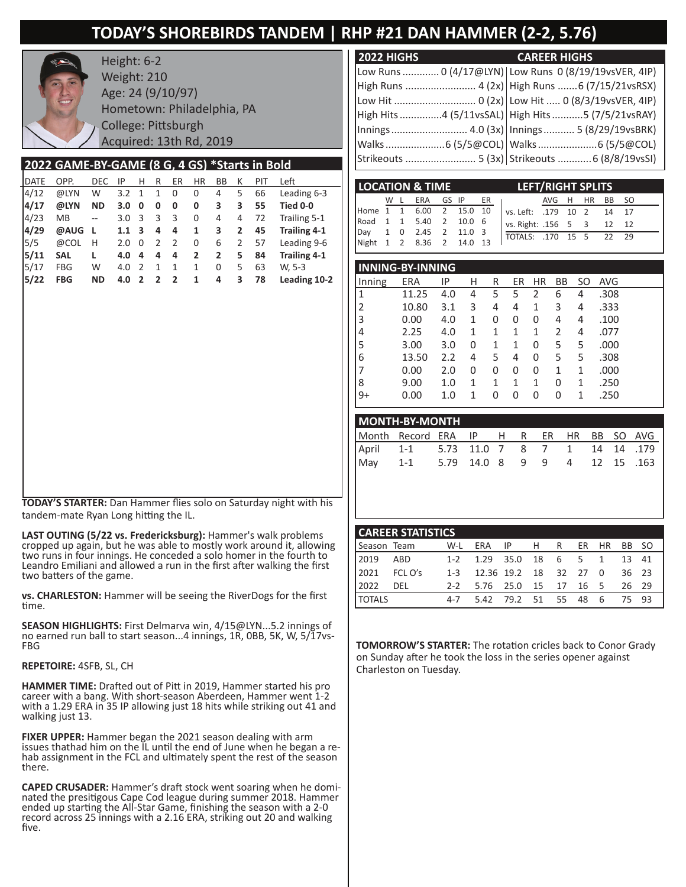# **TODAY'S SHOREBIRDS TANDEM | RHP #21 DAN HAMMER (2-2, 5.76)**



Height: 6-2 Weight: 210 Age: 24 (9/10/97) Hometown: Philadelphia, PA College: Pittsburgh Acquired: 13th Rd, 2019

### **2022 GAME-BY-GAME (8 G, 4 GS) \*Starts in Bold**

| <b>DATE</b> | OPP.       | <b>DEC</b> | ΙP  | н                       | R              | ER             | <b>HR</b> | BB             | К            | PIT | Left                |
|-------------|------------|------------|-----|-------------------------|----------------|----------------|-----------|----------------|--------------|-----|---------------------|
| 4/12        | @LYN       | W          | 3.2 | -1                      | 1              | 0              | 0         | 4              | 5            | 66  | Leading 6-3         |
| 4/17        | @LYN       | ΝD         | 3.0 | 0                       | 0              | 0              | 0         | 3              | 3            | 55  | Tied 0-0            |
| 4/23        | <b>MB</b>  | $-$        | 3.0 | $\overline{\mathbf{3}}$ | 3              | 3              | 0         | 4              | 4            | 72  | Trailing 5-1        |
| 4/29        | @AUG       | -L         | 1.1 | - 3                     | 4              | 4              | 1         | 3              | $\mathbf{2}$ | 45  | <b>Trailing 4-1</b> |
| 5/5         | @COL       | н          | 2.0 | $\Omega$                | 2              | $\overline{2}$ | 0         | 6              | 2            | 57  | Leading 9-6         |
| 5/11        | <b>SAL</b> | L          | 4.0 | 4                       | 4              | 4              | 2         | $\overline{2}$ | 5            | 84  | <b>Trailing 4-1</b> |
| 5/17        | <b>FBG</b> | W          | 4.0 | $\overline{2}$          | 1              | 1              | 1         | 0              | 5            | 63  | W. 5-3              |
| 5/22        | <b>FBG</b> | <b>ND</b>  | 4.0 | $\overline{2}$          | $\overline{2}$ | $\overline{2}$ | 1         | 4              | 3            | 78  | Leading 10-2        |
|             |            |            |     |                         |                |                |           |                |              |     |                     |

**TODAY'S STARTER:** Dan Hammer flies solo on Saturday night with his tandem-mate Ryan Long hitting the IL.

**LAST OUTING (5/22 vs. Fredericksburg):** Hammer's walk problems cropped up again, but he was able to mostly work around it, allowing two runs in four innings. He conceded a solo homer in the fourth to Leandro Emiliani and allowed a run in the first after walking the first two batters of the game.

**vs. CHARLESTON:** Hammer will be seeing the RiverDogs for the first time.

**SEASON HIGHLIGHTS:** First Delmarva win, 4/15@LYN...5.2 innings of no earned run ball to start season...4 innings, 1R, 0BB, 5K, W, 5/17vs- FBG

#### **REPETOIRE:** 4SFB, SL, CH

**HAMMER TIME:** Drafted out of Pitt in 2019, Hammer started his pro career with a bang. With short-season Aberdeen, Hammer went 1-2 with a 1.29 ERA in 35 IP allowing just 18 hits while striking out 41 and walking just 13.

**FIXER UPPER:** Hammer began the 2021 season dealing with arm issues that had him on the IL until the end of June when he began a rehab assignment in the FCL and ultimately spent the rest of the season there.

**CAPED CRUSADER:** Hammer's draft stock went soaring when he domi- nated the presitigous Cape Cod league during summer 2018. Hammer ended up starting the All-Star Game, finishing the season with a 2-0 record across 25 innings with a 2.16 ERA, striking out 20 and walking five.

| 2022 HIGHS<br><b>Service Service</b>                    | <b>CAREER HIGHS</b> |
|---------------------------------------------------------|---------------------|
| Low Runs  0 (4/17@LYN)   Low Runs 0 (8/19/19vsVER, 4IP) |                     |
| High Runs  4 (2x)   High Runs  6 (7/15/21vsRSX)         |                     |
|                                                         |                     |
| High Hits 4 (5/11vsSAL)   High Hits 5 (7/5/21vsRAY)     |                     |
|                                                         |                     |
| [Walks 6 (5/5@COL)   Walks 6 (5/5@COL)                  |                     |
|                                                         |                     |

|  | <b>LOCATION &amp; TIME</b> |  | <b>LEFT/RIGHT SPLITS</b>          |  |
|--|----------------------------|--|-----------------------------------|--|
|  |                            |  | W L ERA GS IP ER I AVG H HR BB SO |  |
|  | Home 1 1 6.00 2 15.0 10    |  | vs. Left: .179 10 2 14 17         |  |
|  | Road 1 1 5.40 2 10.0 6     |  | vs. Right: .156 5 3 12 12         |  |
|  | Day 1 0 2.45 2 11.0 3      |  | TOTALS: .170 15 5 22 29           |  |
|  | Night 1 2 8.36 2 14.0 13   |  |                                   |  |

| <b>INNING-BY-INNING</b> |       |     |   |   |    |    |           |    |      |  |  |  |  |
|-------------------------|-------|-----|---|---|----|----|-----------|----|------|--|--|--|--|
| Inning                  | ERA   | IP  | Н | R | ER | ΗR | <b>BB</b> | SO | AVG  |  |  |  |  |
| 1                       | 11.25 | 4.0 | 4 | 5 | 5  | 2  | 6         | 4  | .308 |  |  |  |  |
| 2                       | 10.80 | 3.1 | 3 | 4 | 4  | 1  | 3         | 4  | .333 |  |  |  |  |
| 3                       | 0.00  | 4.0 | 1 | 0 | 0  | 0  | 4         | 4  | .100 |  |  |  |  |
| 4                       | 2.25  | 4.0 | 1 | 1 | 1  | 1  | 2         | 4  | .077 |  |  |  |  |
| 5                       | 3.00  | 3.0 | 0 | 1 | 1  | 0  | 5         | 5  | .000 |  |  |  |  |
| 6                       | 13.50 | 2.2 | 4 | 5 | 4  | 0  | 5         | 5  | .308 |  |  |  |  |
|                         | 0.00  | 2.0 | 0 | 0 | 0  | 0  | 1         | 1  | .000 |  |  |  |  |
| 8                       | 9.00  | 1.0 | 1 | 1 | 1  | 1  | 0         | 1  | .250 |  |  |  |  |
| $9+$                    | 0.00  | 1.0 | 1 | 0 | 0  | 0  | 0         | 1  | .250 |  |  |  |  |

| MONTH-BY-MONTH                          |  |  |  |  |  |  |  |  |  |  |  |  |
|-----------------------------------------|--|--|--|--|--|--|--|--|--|--|--|--|
| Month Record ERA IP H R ER HR BB SO AVG |  |  |  |  |  |  |  |  |  |  |  |  |
| April 1-1 5.73 11.0 7 8 7 1 14 14 179   |  |  |  |  |  |  |  |  |  |  |  |  |
| May 1-1 5.79 14.0 8 9 9 4 12 15 .163    |  |  |  |  |  |  |  |  |  |  |  |  |

|               | <b>CAREER STATISTICS</b> |  |                           |  |  |  |  |             |       |  |  |  |  |
|---------------|--------------------------|--|---------------------------|--|--|--|--|-------------|-------|--|--|--|--|
|               | Season Team W-L          |  | ERA IPHR                  |  |  |  |  | ER HR BB SO |       |  |  |  |  |
| 2019 ABD      |                          |  | 1-2 1.29 35.0 18 6 5 1    |  |  |  |  |             | 13 41 |  |  |  |  |
| 2021          | FCL O's                  |  | 1-3 12.36 19.2 18 32 27 0 |  |  |  |  |             | 36 23 |  |  |  |  |
| 2022 DEL      |                          |  | 2-2 5.76 25.0 15 17 16 5  |  |  |  |  |             | 26 29 |  |  |  |  |
| <b>TOTALS</b> |                          |  | 4-7 5.42 79.2 51 55 48 6  |  |  |  |  |             | 75 93 |  |  |  |  |

**TOMORROW'S STARTER:** The rotation cricles back to Conor Grady on Sunday after he took the loss in the series opener against Charleston on Tuesday.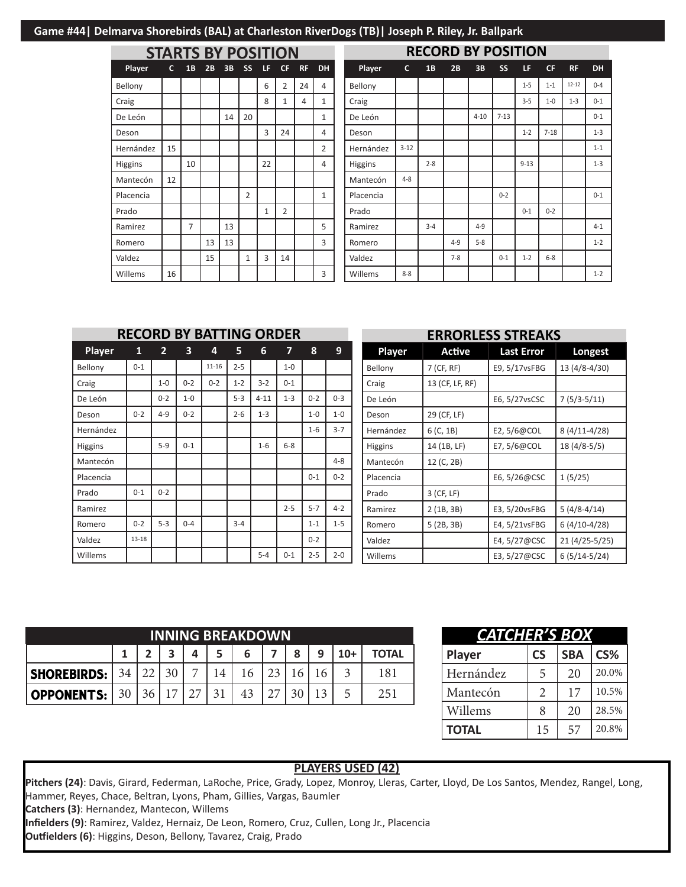| <b>STARTS BY POSITION</b> |    |                |    |    |                |              |                |           |                |  |  |  |
|---------------------------|----|----------------|----|----|----------------|--------------|----------------|-----------|----------------|--|--|--|
| Player                    | c  | 1 <sub>B</sub> | 2B | 3B | SS             | LF           | СF             | <b>RF</b> | <b>DH</b>      |  |  |  |
| Bellony                   |    |                |    |    |                | 6            | $\overline{2}$ | 24        | 4              |  |  |  |
| Craig                     |    |                |    |    |                | 8            | 1              | 4         | $\mathbf{1}$   |  |  |  |
| De León                   |    |                |    | 14 | 20             |              |                |           | $\mathbf{1}$   |  |  |  |
| Deson                     |    |                |    |    |                | 3            | 24             |           | 4              |  |  |  |
| Hernández                 | 15 |                |    |    |                |              |                |           | $\overline{2}$ |  |  |  |
| Higgins                   |    | 10             |    |    |                | 22           |                |           | 4              |  |  |  |
| Mantecón                  | 12 |                |    |    |                |              |                |           |                |  |  |  |
| Placencia                 |    |                |    |    | $\overline{2}$ |              |                |           | 1              |  |  |  |
| Prado                     |    |                |    |    |                | $\mathbf{1}$ | $\overline{2}$ |           |                |  |  |  |
| Ramirez                   |    | 7              |    | 13 |                |              |                |           | 5              |  |  |  |
| Romero                    |    |                | 13 | 13 |                |              |                |           | 3              |  |  |  |
| Valdez                    |    |                | 15 |    | $\mathbf{1}$   | 3            | 14             |           |                |  |  |  |
| Willems                   | 16 |                |    |    |                |              |                |           | 3              |  |  |  |

| <b>RECORD BY POSITION</b> |          |         |         |          |           |          |           |           |           |  |  |
|---------------------------|----------|---------|---------|----------|-----------|----------|-----------|-----------|-----------|--|--|
| Player                    | c        | 1B      | 2B      | 3B       | <b>SS</b> | LF       | <b>CF</b> | <b>RF</b> | <b>DH</b> |  |  |
| Bellony                   |          |         |         |          |           | $1-5$    | $1 - 1$   | $12 - 12$ | $0 - 4$   |  |  |
| Craig                     |          |         |         |          |           | $3 - 5$  | $1-0$     | $1 - 3$   | $0 - 1$   |  |  |
| De León                   |          |         |         | $4 - 10$ | $7 - 13$  |          |           |           | $0 - 1$   |  |  |
| Deson                     |          |         |         |          |           | $1 - 2$  | $7 - 18$  |           | $1 - 3$   |  |  |
| Hernández                 | $3 - 12$ |         |         |          |           |          |           |           | $1 - 1$   |  |  |
| <b>Higgins</b>            |          | $2 - 8$ |         |          |           | $9 - 13$ |           |           | $1 - 3$   |  |  |
| Mantecón                  | $4 - 8$  |         |         |          |           |          |           |           |           |  |  |
| Placencia                 |          |         |         |          | $0 - 2$   |          |           |           | $0 - 1$   |  |  |
| Prado                     |          |         |         |          |           | $0 - 1$  | $0 - 2$   |           |           |  |  |
| Ramirez                   |          | $3 - 4$ |         | $4 - 9$  |           |          |           |           | $4 - 1$   |  |  |
| Romero                    |          |         | $4 - 9$ | $5 - 8$  |           |          |           |           | $1 - 2$   |  |  |
| Valdez                    |          |         | $7-8$   |          | $0 - 1$   | $1 - 2$  | $6 - 8$   |           |           |  |  |
| Willems                   | $8 - 8$  |         |         |          |           |          |           |           | $1 - 2$   |  |  |

|                | <b>RECORD BY BATTING ORDER</b> |                |                         |           |         |          |         |         |         | <b>ERRORLESS STREAKS</b> |                 |                   |                |  |  |
|----------------|--------------------------------|----------------|-------------------------|-----------|---------|----------|---------|---------|---------|--------------------------|-----------------|-------------------|----------------|--|--|
| Player         | 1                              | $\overline{2}$ | $\overline{\mathbf{3}}$ | 4         | 5       | 6        | 7       | 8       | 9       | Player                   | Active          | <b>Last Error</b> | Longest        |  |  |
| Bellony        | $0 - 1$                        |                |                         | $11 - 16$ | $2 - 5$ |          | $1-0$   |         |         | Bellony                  | 7 (CF, RF)      | E9, 5/17vsFBG     | 13 (4/8-4/30)  |  |  |
| Craig          |                                | $1 - 0$        | $0 - 2$                 | $0 - 2$   | $1 - 2$ | $3 - 2$  | $0 - 1$ |         |         | Craig                    | 13 (CF, LF, RF) |                   |                |  |  |
| De León        |                                | $0 - 2$        | $1-0$                   |           | $5 - 3$ | $4 - 11$ | $1 - 3$ | $0 - 2$ | $0 - 3$ | De León                  |                 | E6, 5/27vsCSC     | $7(5/3-5/11)$  |  |  |
| Deson          | $0 - 2$                        | $4 - 9$        | $0 - 2$                 |           | $2 - 6$ | $1 - 3$  |         | $1-0$   | $1-0$   | Deson                    | 29 (CF, LF)     |                   |                |  |  |
| Hernández      |                                |                |                         |           |         |          |         | $1 - 6$ | $3 - 7$ | Hernández                | 6 (C, 1B)       | E2, $5/6@COL$     | $8(4/11-4/28)$ |  |  |
| <b>Higgins</b> |                                | $5-9$          | $0 - 1$                 |           |         | $1 - 6$  | $6-8$   |         |         | Higgins                  | 14 (1B, LF)     | E7, $5/6@COL$     | $18(4/8-5/5)$  |  |  |
| Mantecón       |                                |                |                         |           |         |          |         |         | $4 - 8$ | Mantecón                 | 12 (C, 2B)      |                   |                |  |  |
| Placencia      |                                |                |                         |           |         |          |         | $0 - 1$ | $0 - 2$ | Placencia                |                 | E6, 5/26@CSC      | 1(5/25)        |  |  |
| Prado          | $0 - 1$                        | $0 - 2$        |                         |           |         |          |         |         |         | Prado                    | 3 (CF, LF)      |                   |                |  |  |
| Ramirez        |                                |                |                         |           |         |          | $2 - 5$ | $5 - 7$ | $4 - 2$ | Ramirez                  | 2(1B, 3B)       | E3, 5/20vsFBG     | $5(4/8-4/14)$  |  |  |
| Romero         | $0 - 2$                        | $5 - 3$        | $0 - 4$                 |           | $3 - 4$ |          |         | $1 - 1$ | $1 - 5$ | Romero                   | 5(2B, 3B)       | E4, 5/21vsFBG     | $6(4/10-4/28)$ |  |  |
| Valdez         | $13 - 18$                      |                |                         |           |         |          |         | $0 - 2$ |         | Valdez                   |                 | E4, 5/27@CSC      | 21 (4/25-5/25  |  |  |
| Willems        |                                |                |                         |           |         | $5 - 4$  | $0 - 1$ | $2 - 5$ | $2 - 0$ | Willems                  |                 | E3, 5/27@CSC      | $6(5/14-5/24)$ |  |  |

| <b>INNING BREAKDOWN</b> |    |  |                 |                |    |    |  |   |    |       |              |
|-------------------------|----|--|-----------------|----------------|----|----|--|---|----|-------|--------------|
|                         |    |  |                 | Δ              |    | 6  |  | 8 | 9  | $10+$ | <b>TOTAL</b> |
| <b>SHOREBIRDS:</b>      | 34 |  | 30 <sub>1</sub> | $\overline{ }$ |    |    |  |   |    |       | 181          |
| <b>OPPONENTS:</b>       | 30 |  | $\overline{ }$  | 27             | 21 | 43 |  |   | 12 |       | 251          |

| CATCHER'S BOX |                       |            |       |  |  |  |  |  |  |  |  |  |
|---------------|-----------------------|------------|-------|--|--|--|--|--|--|--|--|--|
| Player        | <b>CS</b>             | <b>SBA</b> | CS%   |  |  |  |  |  |  |  |  |  |
| Hernández     | 5                     | 20         | 20.0% |  |  |  |  |  |  |  |  |  |
| Mantecón      | $\mathcal{D}_{\cdot}$ | 17         | 10.5% |  |  |  |  |  |  |  |  |  |
| Willems       | 8                     | 20         | 28.5% |  |  |  |  |  |  |  |  |  |
| <b>TOTAL</b>  | 15                    | 57         | 20.8% |  |  |  |  |  |  |  |  |  |

#### **PLAYERS USED (42)**

Pitchers (24): Davis, Girard, Federman, LaRoche, Price, Grady, Lopez, Monroy, Lleras, Carter, Lloyd, De Los Santos, Mendez, Rangel, Long, Hammer, Reyes, Chace, Beltran, Lyons, Pham, Gillies, Vargas, Baumler **Catchers (3)**: Hernandez, Mantecon, Willems

**Infielders (9)**: Ramirez, Valdez, Hernaiz, De Leon, Romero, Cruz, Cullen, Long Jr., Placencia

**Outfielders (6)**: Higgins, Deson, Bellony, Tavarez, Craig, Prado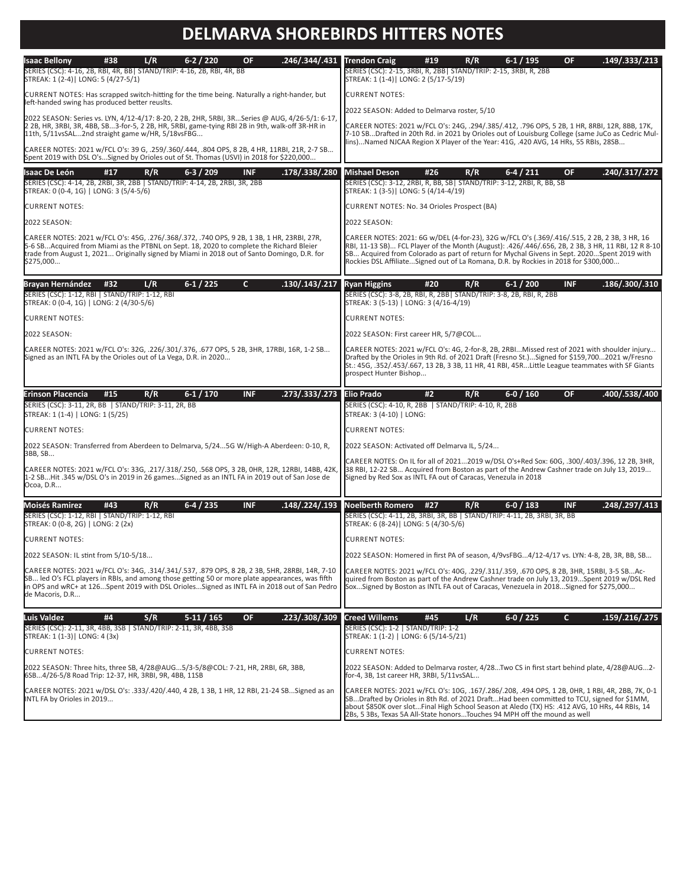# **DELMARVA SHOREBIRDS HITTERS NOTES**

| <b>Isaac Bellony</b><br>.246/.344/.431<br>L/R<br>$6-2/220$<br><b>OF</b><br>#38<br>SERIES (CSC): 4-16, 2B, RBI, 4R, BB  STAND/TRIP: 4-16, 2B, RBI, 4R, BB<br>STREAK: 1 (2-4)   LONG: 5 (4/27-5/1)                                                                                                                    | $6-1/195$<br>.149/.333/.213<br><b>Trendon Craig</b><br>#19<br>R/R<br>OF.<br>SERIES (CSC): 2-15, 3RBI, R, 2BB   STAND/TRIP: 2-15, 3RBI, R, 2BB<br>STREAK: 1 (1-4)   LONG: 2 (5/17-5/19)                                                                                                                                                                                                  |
|---------------------------------------------------------------------------------------------------------------------------------------------------------------------------------------------------------------------------------------------------------------------------------------------------------------------|-----------------------------------------------------------------------------------------------------------------------------------------------------------------------------------------------------------------------------------------------------------------------------------------------------------------------------------------------------------------------------------------|
| CURRENT NOTES: Has scrapped switch-hitting for the time being. Naturally a right-hander, but<br>left-handed swing has produced better reuslts.                                                                                                                                                                      | <b>CURRENT NOTES:</b>                                                                                                                                                                                                                                                                                                                                                                   |
| 2022 SEASON: Series vs. LYN, 4/12-4/17: 8-20, 2 2B, 2HR, 5RBI, 3RSeries @ AUG, 4/26-5/1: 6-17,                                                                                                                                                                                                                      | 2022 SEASON: Added to Delmarva roster, 5/10                                                                                                                                                                                                                                                                                                                                             |
| 2 2B, HR, 3RBI, 3R, 4BB, SB3-for-5, 2 2B, HR, 5RBI, game-tying RBI 2B in 9th, walk-off 3R-HR in<br>11th, 5/11vsSAL2nd straight game w/HR, 5/18vsFBG                                                                                                                                                                 | CAREER NOTES: 2021 w/FCL O's: 24G, .294/.385/.412, .796 OPS, 5 2B, 1 HR, 8RBI, 12R, 8BB, 17K,<br>7-10 SBDrafted in 20th Rd. in 2021 by Orioles out of Louisburg College (same JuCo as Cedric Mul-<br>lins)Named NJCAA Region X Player of the Year: 41G, .420 AVG, 14 HRs, 55 RBIs, 28SB                                                                                                 |
| CAREER NOTES: 2021 w/FCL O's: 39 G, .259/.360/.444, .804 OPS, 8 2B, 4 HR, 11RBI, 21R, 2-7 SB<br>Spent 2019 with DSL O'sSigned by Orioles out of St. Thomas (USVI) in 2018 for \$220,000                                                                                                                             |                                                                                                                                                                                                                                                                                                                                                                                         |
| $6-3/209$<br><b>INF</b><br>.178/.338/.280<br>Isaac De León<br>#17<br>R/R<br>SERIES (CSC): 4-14, 2B, 2RBI, 3R, 2BB   STAND/TRIP: 4-14, 2B, 2RBI, 3R, 2BB<br>STREAK: 0 (0-4, 1G)   LONG: 3 (5/4-5/6)                                                                                                                  | $6-4/211$<br>.240/.317/.272<br><b>Mishael Deson</b><br>#26<br>R/R<br><b>OF</b><br>SERIES (CSC): 3-12, 2RBI, R, BB, SB  STAND/TRIP: 3-12, 2RBI, R, BB, SB<br>STREAK: 1 (3-5)   LONG: 5 (4/14-4/19)                                                                                                                                                                                       |
| <b>CURRENT NOTES:</b>                                                                                                                                                                                                                                                                                               | CURRENT NOTES: No. 34 Orioles Prospect (BA)                                                                                                                                                                                                                                                                                                                                             |
| 2022 SEASON:                                                                                                                                                                                                                                                                                                        | 2022 SEASON:                                                                                                                                                                                                                                                                                                                                                                            |
| CAREER NOTES: 2021 w/FCL O's: 45G, .276/.368/.372, .740 OPS, 9 2B, 1 3B, 1 HR, 23RBI, 27R,<br>5-6 SBAcquired from Miami as the PTBNL on Sept. 18, 2020 to complete the Richard Bleier<br>trade from August 1, 2021 Originally signed by Miami in 2018 out of Santo Domingo, D.R. for<br>\$275,000                   | CAREER NOTES: 2021: 6G w/DEL (4-for-23), 32G w/FCL O's (.369/.416/.515, 2 2B, 2 3B, 3 HR, 16<br>RBI, 11-13 SB) FCL Player of the Month (August): .426/.446/.656, 2B, 2 3B, 3 HR, 11 RBI, 12 R 8-10<br>SB Acquired from Colorado as part of return for Mychal Givens in Sept. 2020Spent 2019 with<br>Rockies DSL AffiliateSigned out of La Romana, D.R. by Rockies in 2018 for \$300,000 |
| $6-1/225$<br>$\mathsf{C}$<br>.130/.143/.217<br><b>Brayan Hernández</b><br>L/R<br>#32<br>SERIES (CSC): 1-12, RBI   STAND/TRIP: 1-12, RBI<br>STREAK: 0 (0-4, 1G)   LONG: 2 (4/30-5/6)                                                                                                                                 | .186/.300/.310<br><b>Ryan Higgins</b><br>#20<br>$6-1/200$<br><b>INF</b><br>R/R<br>SERIES (CSC): 3-8, 2B, RBI, R, 2BB   STAND/TRIP: 3-8, 2B, RBI, R, 2BB<br>STREAK: 3 (5-13)   LONG: 3 (4/16-4/19)                                                                                                                                                                                       |
| <b>CURRENT NOTES:</b>                                                                                                                                                                                                                                                                                               | <b>CURRENT NOTES:</b>                                                                                                                                                                                                                                                                                                                                                                   |
| 2022 SEASON:                                                                                                                                                                                                                                                                                                        | 2022 SEASON: First career HR, 5/7@COL                                                                                                                                                                                                                                                                                                                                                   |
| CAREER NOTES: 2021 w/FCL O's: 32G, .226/.301/.376, .677 OPS, 5 2B, 3HR, 17RBI, 16R, 1-2 SB<br>Signed as an INTL FA by the Orioles out of La Vega, D.R. in 2020                                                                                                                                                      | CAREER NOTES: 2021 w/FCL O's: 4G, 2-for-8, 2B, 2RBIMissed rest of 2021 with shoulder injury<br>Drafted by the Orioles in 9th Rd. of 2021 Draft (Fresno St.)Signed for \$159,7002021 w/Fresno<br>St.: 45G, .352/.453/.667, 13 2B, 3 3B, 11 HR, 41 RBI, 45RLittle League teammates with SF Giants<br>prospect Hunter Bishop                                                               |
|                                                                                                                                                                                                                                                                                                                     |                                                                                                                                                                                                                                                                                                                                                                                         |
|                                                                                                                                                                                                                                                                                                                     |                                                                                                                                                                                                                                                                                                                                                                                         |
| .273/.333/.273<br>$6-1/170$<br><b>INF</b><br>Erinson Placencia<br>#15<br>R/R<br>SERIES (CSC): 3-11, 2R, BB   STAND/TRIP: 3-11, 2R, BB<br>STREAK: 1 (1-4)   LONG: 1 (5/25)                                                                                                                                           | <b>Elio Prado</b><br>$6-0/160$<br><b>OF</b><br>.400/.538/.400<br>#2<br>R/R<br>SERIES (CSC): 4-10, R, 2BB   STAND/TRIP: 4-10, R, 2BB<br>STREAK: 3 (4-10)   LONG:                                                                                                                                                                                                                         |
| <b>CURRENT NOTES:</b>                                                                                                                                                                                                                                                                                               | <b>CURRENT NOTES:</b>                                                                                                                                                                                                                                                                                                                                                                   |
| 2022 SEASON: Transferred from Aberdeen to Delmarva, 5/245G W/High-A Aberdeen: 0-10, R,                                                                                                                                                                                                                              | 2022 SEASON: Activated off Delmarva IL, 5/24                                                                                                                                                                                                                                                                                                                                            |
| 3BB, SB<br>CAREER NOTES: 2021 w/FCL O's: 33G, .217/.318/.250, .568 OPS, 3 2B, 0HR, 12R, 12RBI, 14BB, 42K,<br>1-2 SBHit .345 w/DSL O's in 2019 in 26 gamesSigned as an INTL FA in 2019 out of San Jose de<br>Ocoa, D.R                                                                                               | CAREER NOTES: On IL for all of 20212019 w/DSL O's+Red Sox: 60G, .300/.403/.396, 12 2B, 3HR,<br>38 RBI, 12-22 SB Acquired from Boston as part of the Andrew Cashner trade on July 13, 2019<br>Signed by Red Sox as INTL FA out of Caracas, Venezula in 2018                                                                                                                              |
| .148/.224/.193<br>$6-4/235$<br><b>INF</b><br>#43<br>R/R                                                                                                                                                                                                                                                             | .248/.297/.413<br><b>Noelberth Romero</b><br>#27<br>R/R<br>$6 - 0 / 183$<br><b>INF</b>                                                                                                                                                                                                                                                                                                  |
| <b>Moisés Ramirez</b><br>SERIES (CSC): 1-12, RBI   STAND/TRIP: 1-12, RBI<br>STREAK: 0 (0-8, 2G)   LONG: 2 (2x)                                                                                                                                                                                                      | SERIES (CSC): 4-11, 2B, 3RBI, 3R, BB   STAND/TRIP: 4-11, 2B, 3RBI, 3R, BB<br>STREAK: 6 (8-24) LONG: 5 (4/30-5/6)                                                                                                                                                                                                                                                                        |
| <b>CURRENT NOTES:</b>                                                                                                                                                                                                                                                                                               | <b>CURRENT NOTES:</b>                                                                                                                                                                                                                                                                                                                                                                   |
| 2022 SEASON: IL stint from 5/10-5/18                                                                                                                                                                                                                                                                                | 2022 SEASON: Homered in first PA of season, 4/9vsFBG4/12-4/17 vs. LYN: 4-8, 2B, 3R, BB, SB                                                                                                                                                                                                                                                                                              |
| CAREER NOTES: 2021 w/FCL O's: 34G, .314/.341/.537, .879 OPS, 8 2B, 2 3B, 5HR, 28RBI, 14R, 7-10<br>SB led O's FCL players in RBIs, and among those getting 50 or more plate appearances, was fifth<br>in OPS and wRC+ at 126Spent 2019 with DSL OriolesSigned as INTL FA in 2018 out of San Pedro<br>de Macoris, D.R | CAREER NOTES: 2021 w/FCL O's: 40G, .229/.311/.359, .670 OPS, 8 2B, 3HR, 15RBI, 3-5 SBAc-<br>quired from Boston as part of the Andrew Cashner trade on July 13, 2019Spent 2019 w/DSL Red<br>SoxSigned by Boston as INTL FA out of Caracas, Venezuela in 2018Signed for \$275,000                                                                                                         |
|                                                                                                                                                                                                                                                                                                                     |                                                                                                                                                                                                                                                                                                                                                                                         |
| Luis Valdez<br>.223/.308/.309<br>#4<br>S/R<br>$5-11/165$<br><b>OF</b><br>SERIES (CSC): 2-11, 3R, 4BB, 3SB   STAND/TRIP: 2-11, 3R, 4BB, 3SB<br>STREAK: 1 (1-3)   LONG: 4 (3x)                                                                                                                                        | <b>Creed Willems</b><br>L/R<br>$6-0/225$<br>.159/.216/.275<br>#45<br>C.<br>SERIES (CSC): 1-2   STAND/TRIP: 1-2<br>STREAK: 1 (1-2)   LONG: 6 (5/14-5/21)                                                                                                                                                                                                                                 |
| <b>CURRENT NOTES:</b>                                                                                                                                                                                                                                                                                               | <b>CURRENT NOTES:</b>                                                                                                                                                                                                                                                                                                                                                                   |
| 2022 SEASON: Three hits, three SB, 4/28@AUG5/3-5/8@COL: 7-21, HR, 2RBI, 6R, 3BB,<br>6SB4/26-5/8 Road Trip: 12-37, HR, 3RBI, 9R, 4BB, 11SB<br>CAREER NOTES: 2021 w/DSL O's: .333/.420/.440, 4 2B, 1 3B, 1 HR, 12 RBI, 21-24 SBSigned as an<br> INTL FA by Orioles in 2019                                            | 2022 SEASON: Added to Delmarva roster, 4/28Two CS in first start behind plate, 4/28@AUG2-<br>for-4, 3B, 1st career HR, 3RBI, 5/11vsSAL                                                                                                                                                                                                                                                  |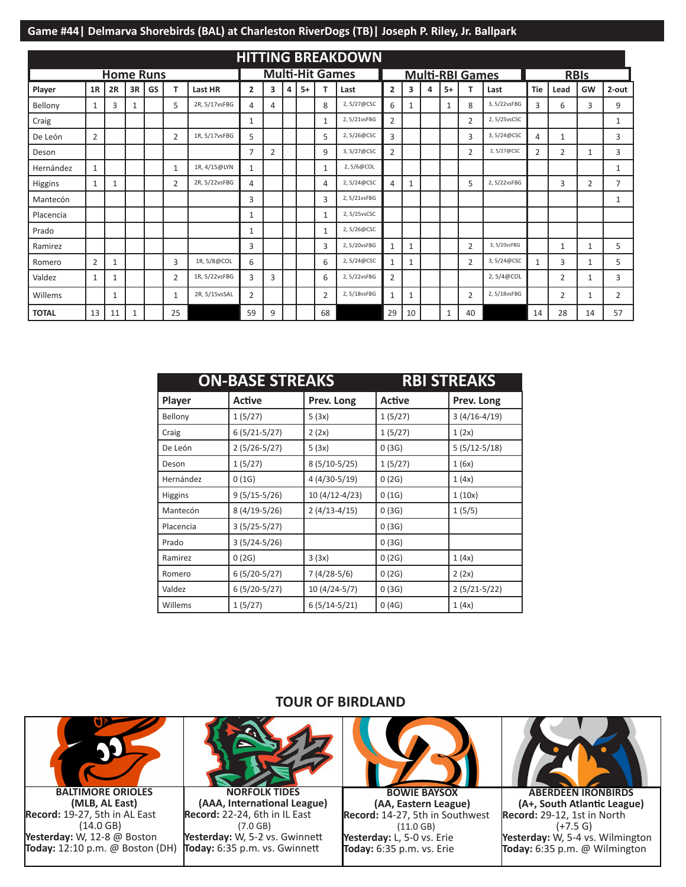|              |                |                  |    |    |                |               |                |                |   |      |                        | <b>HITTING BREAKDOWN</b> |                |              |   |      |                        |              |            |                |                |              |
|--------------|----------------|------------------|----|----|----------------|---------------|----------------|----------------|---|------|------------------------|--------------------------|----------------|--------------|---|------|------------------------|--------------|------------|----------------|----------------|--------------|
|              |                | <b>Home Runs</b> |    |    |                |               |                |                |   |      | <b>Multi-Hit Games</b> |                          |                |              |   |      | <b>Multi-RBI Games</b> |              |            |                | <b>RBIS</b>    |              |
| Player       | 1R             | 2R               | 3R | GS | T              | Last HR       | $\overline{2}$ | 3              | 4 | $5+$ |                        | Last                     | $\overline{2}$ | 3            | 4 | $5+$ | т                      | Last         | <b>Tie</b> | Lead           | GW             | 2-out        |
| Bellony      | 1              | 3                | 1  |    | 5              | 2R, 5/17vsFBG | 4              | 4              |   |      | 8                      | 2,5/27@CSC               | 6              | $\mathbf{1}$ |   | 1    | 8                      | 3,5/22vsFBG  | 3          | 6              | 3              | 9            |
| Craig        |                |                  |    |    |                |               | 1              |                |   |      | 1                      | 2,5/21vsFBG              | $\overline{2}$ |              |   |      | $\overline{2}$         | 2, 5/25vsCSC |            |                |                | 1            |
| De León      | $\overline{2}$ |                  |    |    | $\overline{2}$ | 1R, 5/17vsFBG | 5              |                |   |      | 5                      | 2,5/26@CSC               | 3              |              |   |      | 3                      | 3,5/24@CSC   | 4          | 1              |                | 3            |
| Deson        |                |                  |    |    |                |               | 7              | $\overline{2}$ |   |      | 9                      | 3,5/27@CSC               | $\overline{2}$ |              |   |      | $\overline{2}$         | 2,5/27@CSC   | 2          | $\overline{2}$ | 1              | 3            |
| Hernández    | $\mathbf{1}$   |                  |    |    | $\mathbf{1}$   | 1R, 4/15@LYN  | $\mathbf{1}$   |                |   |      | 1                      | 2,5/6@COL                |                |              |   |      |                        |              |            |                |                | $\mathbf{1}$ |
| Higgins      | $\mathbf{1}$   | 1                |    |    | 2              | 2R, 5/22vsFBG | $\overline{4}$ |                |   |      | 4                      | 2,5/24@CSC               | 4              | $\mathbf{1}$ |   |      | 5                      | 2,5/22vsFBG  |            | 3              | $\overline{2}$ | 7            |
| Mantecón     |                |                  |    |    |                |               | 3              |                |   |      | 3                      | 2,5/21vsFBG              |                |              |   |      |                        |              |            |                |                | 1            |
| Placencia    |                |                  |    |    |                |               | $\mathbf{1}$   |                |   |      | 1                      | 2,5/25vsCSC              |                |              |   |      |                        |              |            |                |                |              |
| Prado        |                |                  |    |    |                |               | $\mathbf{1}$   |                |   |      | 1                      | 2,5/26@CSC               |                |              |   |      |                        |              |            |                |                |              |
| Ramirez      |                |                  |    |    |                |               | 3              |                |   |      | 3                      | 2,5/20vsFBG              |                | $\mathbf{1}$ |   |      | $\overline{2}$         | 3,5/20vsFBG  |            | 1              | 1              | 5            |
| Romero       | 2              | 1                |    |    | 3              | 1R, 5/8@COL   | 6              |                |   |      | 6                      | 2,5/24@CSC               | 1              | $\mathbf{1}$ |   |      | $\overline{2}$         | 3,5/24@CSC   | 1          | 3              | 1              | 5            |
| Valdez       | $\mathbf{1}$   | 1                |    |    | $\overline{2}$ | 1R, 5/22vsFBG | 3              | 3              |   |      | 6                      | 2,5/22vsFBG              | 2              |              |   |      |                        | 2, 5/4@COL   |            | $\overline{2}$ | 1              | 3            |
| Willems      |                | 1                |    |    | $\mathbf{1}$   | 2R, 5/15vsSAL | 2              |                |   |      | $\overline{2}$         | 2,5/18vsFBG              |                | 1            |   |      | 2                      | 2,5/18vsFBG  |            | 2              | 1              | 2            |
| <b>TOTAL</b> | 13             | 11               | 1  |    | 25             |               | 59             | 9              |   |      | 68                     |                          | 29             | 10           |   | 1    | 40                     |              | 14         | 28             | 14             | 57           |

|           | <b>ON-BASE STREAKS</b> |                |         | <b>RBI STREAKS</b> |
|-----------|------------------------|----------------|---------|--------------------|
| Player    | Active                 | Prev. Long     | Active  | Prev. Long         |
| Bellony   | 1(5/27)                | 5(3x)          | 1(5/27) | $3(4/16-4/19)$     |
| Craig     | $6(5/21-5/27)$         | 2(2x)          | 1(5/27) | 1(2x)              |
| De León   | $2(5/26-5/27)$         | 5(3x)          | 0(3G)   | $5(5/12-5/18)$     |
| Deson     | 1(5/27)                | $8(5/10-5/25)$ | 1(5/27) | 1(6x)              |
| Hernández | 0(1G)                  | 4 (4/30-5/19)  | 0(2G)   | 1(4x)              |
| Higgins   | $9(5/15-5/26)$         | 10 (4/12-4/23) | 0(1G)   | 1(10x)             |
| Mantecón  | 8 (4/19-5/26)          | $2(4/13-4/15)$ | 0(3G)   | 1(5/5)             |
| Placencia | $3(5/25-5/27)$         |                | 0(3G)   |                    |
| Prado     | $3(5/24-5/26)$         |                | 0(3G)   |                    |
| Ramirez   | 0(2G)                  | 3(3x)          | 0(2G)   | 1(4x)              |
| Romero    | $6(5/20-5/27)$         | 7 (4/28-5/6)   | 0(2G)   | 2(2x)              |
| Valdez    | $6(5/20-5/27)$         | 10 (4/24-5/7)  | 0(3G)   | $2(5/21-5/22)$     |
| Willems   | 1(5/27)                | $6(5/14-5/21)$ | 0(4G)   | 1(4x)              |

**TOUR OF BIRDLAND**



**BALTIMORE ORIOLES (MLB, AL East) Record:** 19-27, 5th in AL East (14.0 GB) **Yesterday:** W, 12-8 @ Boston **Today:** 12:10 p.m. @ Boston (DH)



**NORFOLK TIDES (AAA, International League) Record:** 22-24, 6th in IL East (7.0 GB) **Yesterday:** W, 5-2 vs. Gwinnett **Today:** 6:35 p.m. vs. Gwinnett



**BOWIE BAYSOX (AA, Eastern League) Record:** 14-27, 5th in Southwest (11.0 GB) **Yesterday:** L, 5-0 vs. Erie **Today:** 6:35 p.m. vs. Erie



**ABERDEEN IRONBIRDS (A+, South Atlantic League) Record:** 29-12, 1st in North  $(+7.5 G)$ **Yesterday:** W, 5-4 vs. Wilmington **Today:** 6:35 p.m. @ Wilmington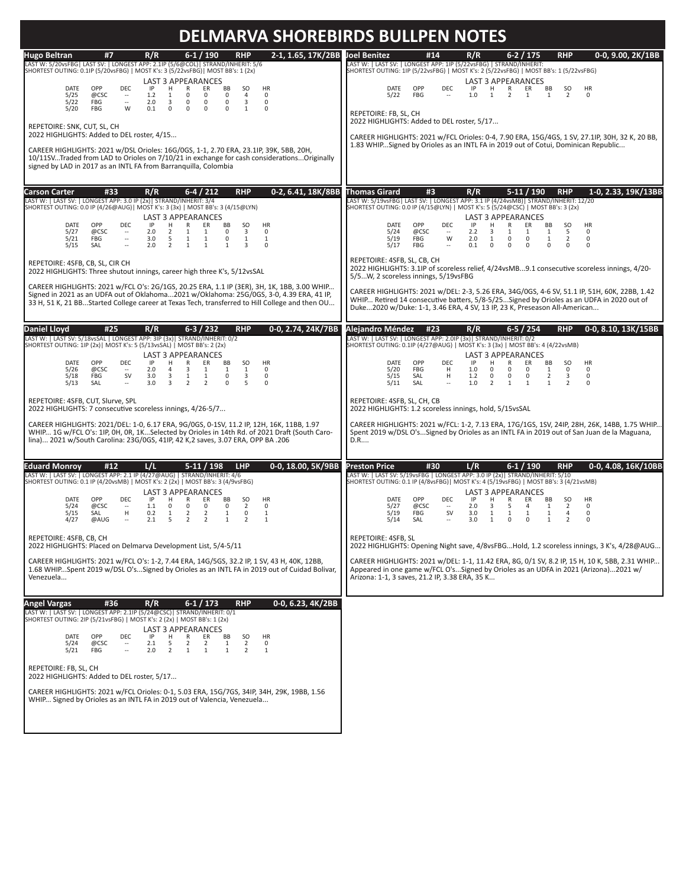|                                                                                                                                                                                                                                                                                                                                                                                                                                                                                                                                                                                                                                                                                                                                                                                                                                                                                                                                                                                            | <b>DELMARVA SHOREBIRDS BULLPEN NOTES</b>                                                                                                                                                                                                                                                                                                                                                                                                                                                                                                                                                                                                                                                                             |
|--------------------------------------------------------------------------------------------------------------------------------------------------------------------------------------------------------------------------------------------------------------------------------------------------------------------------------------------------------------------------------------------------------------------------------------------------------------------------------------------------------------------------------------------------------------------------------------------------------------------------------------------------------------------------------------------------------------------------------------------------------------------------------------------------------------------------------------------------------------------------------------------------------------------------------------------------------------------------------------------|----------------------------------------------------------------------------------------------------------------------------------------------------------------------------------------------------------------------------------------------------------------------------------------------------------------------------------------------------------------------------------------------------------------------------------------------------------------------------------------------------------------------------------------------------------------------------------------------------------------------------------------------------------------------------------------------------------------------|
| 2-1, 1.65, 17K/2BB Joel Benitez<br>$6-1/190$<br>#7<br>R/R<br><b>RHP</b><br>Hugo Beltran<br>LAST W: 5/20vsFBG  LAST SV:   LONGEST APP: 2.1IP (5/6@COL)  STRAND/INHERIT: 5/6<br>SHORTEST OUTING: 0.1IP (5/20vsFBG)   MOST K's: 3 (5/22vsFBG)   MOST BB's: 1 (2x)<br><b>LAST 3 APPEARANCES</b><br><b>DATE</b><br>OPP<br>DEC.<br>-IP<br>н<br>R<br>ER<br>BB<br><b>SO</b><br><b>HR</b><br>5/25<br>@CSC<br>1.2<br>0<br>$\mathbf 0$<br>0<br>4<br>$\mathbf 0$<br>$\sim$<br>$\mathbf{1}$<br>5/22<br>FBG<br>$\overline{\phantom{a}}$<br>2.0<br>3<br>0<br>0<br>0<br>3<br>0<br>W<br>5/20<br>FBG<br>0.1<br>$\Omega$<br>$\Omega$<br>$\Omega$<br>$\Omega$<br>1<br>0<br>REPETOIRE: SNK, CUT, SL, CH<br>2022 HIGHLIGHTS: Added to DEL roster, 4/15<br>CAREER HIGHLIGHTS: 2021 w/DSL Orioles: 16G/0GS, 1-1, 2.70 ERA, 23.1IP, 39K, 5BB, 20H,<br>10/11SVTraded from LAD to Orioles on 7/10/21 in exchange for cash considerationsOriginally<br>signed by LAD in 2017 as an INTL FA from Barranguilla. Colombia | 0-0, 9.00, 2K/1BB<br>#14<br>R/R<br>$6 - 2 / 175$<br><b>RHP</b><br>LAST W:   LAST SV:   LONGEST APP: 1IP (5/22vsFBG)   STRAND/INHERIT:<br>SHORTEST OUTING: 1IP (5/22vsFBG)   MOST K's: 2 (5/22vsFBG)   MOST BB's: 1 (5/22vsFBG)<br><b>LAST 3 APPEARANCES</b><br>DATE<br>OPP<br><b>DEC</b><br>IP<br>H<br>R<br>ER<br>BB<br><sub>SO</sub><br><b>HR</b><br>FBG<br>5/22<br>1.0<br>$\overline{2}$<br>1<br>$\overline{2}$<br>0<br>$\mathbf{1}$<br>$\mathbf{1}$<br>REPETOIRE: FB, SL, CH<br>2022 HIGHLIGHTS: Added to DEL roster, 5/17<br>CAREER HIGHLIGHTS: 2021 w/FCL Orioles: 0-4, 7.90 ERA, 15G/4GS, 1 SV, 27.1IP, 30H, 32 K, 20 BB.<br>1.83 WHIPSigned by Orioles as an INTL FA in 2019 out of Cotui, Dominican Republic |
| #33                                                                                                                                                                                                                                                                                                                                                                                                                                                                                                                                                                                                                                                                                                                                                                                                                                                                                                                                                                                        | 1-0, 2.33, 19K/13BB                                                                                                                                                                                                                                                                                                                                                                                                                                                                                                                                                                                                                                                                                                  |
| R/R                                                                                                                                                                                                                                                                                                                                                                                                                                                                                                                                                                                                                                                                                                                                                                                                                                                                                                                                                                                        | <b>Thomas Girard</b>                                                                                                                                                                                                                                                                                                                                                                                                                                                                                                                                                                                                                                                                                                 |
| $6-4/212$                                                                                                                                                                                                                                                                                                                                                                                                                                                                                                                                                                                                                                                                                                                                                                                                                                                                                                                                                                                  | R/R                                                                                                                                                                                                                                                                                                                                                                                                                                                                                                                                                                                                                                                                                                                  |
| <b>RHP</b>                                                                                                                                                                                                                                                                                                                                                                                                                                                                                                                                                                                                                                                                                                                                                                                                                                                                                                                                                                                 | $5-11/190$                                                                                                                                                                                                                                                                                                                                                                                                                                                                                                                                                                                                                                                                                                           |
| 0-2, 6.41, 18K/8BB                                                                                                                                                                                                                                                                                                                                                                                                                                                                                                                                                                                                                                                                                                                                                                                                                                                                                                                                                                         | <b>RHP</b>                                                                                                                                                                                                                                                                                                                                                                                                                                                                                                                                                                                                                                                                                                           |
| <b>Carson Carter</b>                                                                                                                                                                                                                                                                                                                                                                                                                                                                                                                                                                                                                                                                                                                                                                                                                                                                                                                                                                       | #3                                                                                                                                                                                                                                                                                                                                                                                                                                                                                                                                                                                                                                                                                                                   |
| LAST W:   LAST SV:   LONGEST APP: 3.0 IP (2x)  STRAND/INHERIT: 3/4                                                                                                                                                                                                                                                                                                                                                                                                                                                                                                                                                                                                                                                                                                                                                                                                                                                                                                                         | LAST W: 5/19vsFBG  LAST SV:   LONGEST APP: 3.1 IP (4/24vsMB)  STRAND/INHERIT: 12/20                                                                                                                                                                                                                                                                                                                                                                                                                                                                                                                                                                                                                                  |
| SHORTEST OUTING: 0.0 IP (4/26@AUG)  MOST K's: 3 (3x)   MOST BB's: 3 (4/15@LYN)                                                                                                                                                                                                                                                                                                                                                                                                                                                                                                                                                                                                                                                                                                                                                                                                                                                                                                             | SHORTEST OUTING: 0.0 IP (4/15@LYN)   MOST K's: 5 (5/24@CSC)   MOST BB's: 3 (2x)                                                                                                                                                                                                                                                                                                                                                                                                                                                                                                                                                                                                                                      |
| <b>LAST 3 APPEARANCES</b>                                                                                                                                                                                                                                                                                                                                                                                                                                                                                                                                                                                                                                                                                                                                                                                                                                                                                                                                                                  | <b>LAST 3 APPEARANCES</b>                                                                                                                                                                                                                                                                                                                                                                                                                                                                                                                                                                                                                                                                                            |
| DATE                                                                                                                                                                                                                                                                                                                                                                                                                                                                                                                                                                                                                                                                                                                                                                                                                                                                                                                                                                                       | DATE                                                                                                                                                                                                                                                                                                                                                                                                                                                                                                                                                                                                                                                                                                                 |
| OPP                                                                                                                                                                                                                                                                                                                                                                                                                                                                                                                                                                                                                                                                                                                                                                                                                                                                                                                                                                                        | OPP                                                                                                                                                                                                                                                                                                                                                                                                                                                                                                                                                                                                                                                                                                                  |
| <b>DEC</b>                                                                                                                                                                                                                                                                                                                                                                                                                                                                                                                                                                                                                                                                                                                                                                                                                                                                                                                                                                                 | <b>DEC</b>                                                                                                                                                                                                                                                                                                                                                                                                                                                                                                                                                                                                                                                                                                           |
| IP                                                                                                                                                                                                                                                                                                                                                                                                                                                                                                                                                                                                                                                                                                                                                                                                                                                                                                                                                                                         | IP                                                                                                                                                                                                                                                                                                                                                                                                                                                                                                                                                                                                                                                                                                                   |
| H                                                                                                                                                                                                                                                                                                                                                                                                                                                                                                                                                                                                                                                                                                                                                                                                                                                                                                                                                                                          | H                                                                                                                                                                                                                                                                                                                                                                                                                                                                                                                                                                                                                                                                                                                    |
| $\mathsf{R}$                                                                                                                                                                                                                                                                                                                                                                                                                                                                                                                                                                                                                                                                                                                                                                                                                                                                                                                                                                               | R                                                                                                                                                                                                                                                                                                                                                                                                                                                                                                                                                                                                                                                                                                                    |
| ER                                                                                                                                                                                                                                                                                                                                                                                                                                                                                                                                                                                                                                                                                                                                                                                                                                                                                                                                                                                         | ER                                                                                                                                                                                                                                                                                                                                                                                                                                                                                                                                                                                                                                                                                                                   |
| <b>BB</b>                                                                                                                                                                                                                                                                                                                                                                                                                                                                                                                                                                                                                                                                                                                                                                                                                                                                                                                                                                                  | BB                                                                                                                                                                                                                                                                                                                                                                                                                                                                                                                                                                                                                                                                                                                   |
| <b>SO</b>                                                                                                                                                                                                                                                                                                                                                                                                                                                                                                                                                                                                                                                                                                                                                                                                                                                                                                                                                                                  | <b>SO</b>                                                                                                                                                                                                                                                                                                                                                                                                                                                                                                                                                                                                                                                                                                            |
| <b>HR</b>                                                                                                                                                                                                                                                                                                                                                                                                                                                                                                                                                                                                                                                                                                                                                                                                                                                                                                                                                                                  | <b>HR</b>                                                                                                                                                                                                                                                                                                                                                                                                                                                                                                                                                                                                                                                                                                            |
| 5/27                                                                                                                                                                                                                                                                                                                                                                                                                                                                                                                                                                                                                                                                                                                                                                                                                                                                                                                                                                                       | 5                                                                                                                                                                                                                                                                                                                                                                                                                                                                                                                                                                                                                                                                                                                    |
| @CSC                                                                                                                                                                                                                                                                                                                                                                                                                                                                                                                                                                                                                                                                                                                                                                                                                                                                                                                                                                                       | 5/24                                                                                                                                                                                                                                                                                                                                                                                                                                                                                                                                                                                                                                                                                                                 |
| 2.0                                                                                                                                                                                                                                                                                                                                                                                                                                                                                                                                                                                                                                                                                                                                                                                                                                                                                                                                                                                        | @CSC                                                                                                                                                                                                                                                                                                                                                                                                                                                                                                                                                                                                                                                                                                                 |
| $\overline{2}$                                                                                                                                                                                                                                                                                                                                                                                                                                                                                                                                                                                                                                                                                                                                                                                                                                                                                                                                                                             | 2.2                                                                                                                                                                                                                                                                                                                                                                                                                                                                                                                                                                                                                                                                                                                  |
| 1                                                                                                                                                                                                                                                                                                                                                                                                                                                                                                                                                                                                                                                                                                                                                                                                                                                                                                                                                                                          | 3                                                                                                                                                                                                                                                                                                                                                                                                                                                                                                                                                                                                                                                                                                                    |
| 1                                                                                                                                                                                                                                                                                                                                                                                                                                                                                                                                                                                                                                                                                                                                                                                                                                                                                                                                                                                          | 1                                                                                                                                                                                                                                                                                                                                                                                                                                                                                                                                                                                                                                                                                                                    |
| $\Omega$                                                                                                                                                                                                                                                                                                                                                                                                                                                                                                                                                                                                                                                                                                                                                                                                                                                                                                                                                                                   | $\mathbf{1}$                                                                                                                                                                                                                                                                                                                                                                                                                                                                                                                                                                                                                                                                                                         |
| 3                                                                                                                                                                                                                                                                                                                                                                                                                                                                                                                                                                                                                                                                                                                                                                                                                                                                                                                                                                                          | $\mathbf 0$                                                                                                                                                                                                                                                                                                                                                                                                                                                                                                                                                                                                                                                                                                          |
| $\Omega$                                                                                                                                                                                                                                                                                                                                                                                                                                                                                                                                                                                                                                                                                                                                                                                                                                                                                                                                                                                   | 1                                                                                                                                                                                                                                                                                                                                                                                                                                                                                                                                                                                                                                                                                                                    |
| $\sim$                                                                                                                                                                                                                                                                                                                                                                                                                                                                                                                                                                                                                                                                                                                                                                                                                                                                                                                                                                                     | $\sim$                                                                                                                                                                                                                                                                                                                                                                                                                                                                                                                                                                                                                                                                                                               |
| 5/21                                                                                                                                                                                                                                                                                                                                                                                                                                                                                                                                                                                                                                                                                                                                                                                                                                                                                                                                                                                       | 5/19                                                                                                                                                                                                                                                                                                                                                                                                                                                                                                                                                                                                                                                                                                                 |
| FBG                                                                                                                                                                                                                                                                                                                                                                                                                                                                                                                                                                                                                                                                                                                                                                                                                                                                                                                                                                                        | FBG                                                                                                                                                                                                                                                                                                                                                                                                                                                                                                                                                                                                                                                                                                                  |
| 3.0                                                                                                                                                                                                                                                                                                                                                                                                                                                                                                                                                                                                                                                                                                                                                                                                                                                                                                                                                                                        | W                                                                                                                                                                                                                                                                                                                                                                                                                                                                                                                                                                                                                                                                                                                    |
| 5                                                                                                                                                                                                                                                                                                                                                                                                                                                                                                                                                                                                                                                                                                                                                                                                                                                                                                                                                                                          | 2.0                                                                                                                                                                                                                                                                                                                                                                                                                                                                                                                                                                                                                                                                                                                  |
| $\mathbf 0$                                                                                                                                                                                                                                                                                                                                                                                                                                                                                                                                                                                                                                                                                                                                                                                                                                                                                                                                                                                | $\mathbf 0$                                                                                                                                                                                                                                                                                                                                                                                                                                                                                                                                                                                                                                                                                                          |
| $\overline{\phantom{a}}$                                                                                                                                                                                                                                                                                                                                                                                                                                                                                                                                                                                                                                                                                                                                                                                                                                                                                                                                                                   | $\mathbf 0$                                                                                                                                                                                                                                                                                                                                                                                                                                                                                                                                                                                                                                                                                                          |
| 1                                                                                                                                                                                                                                                                                                                                                                                                                                                                                                                                                                                                                                                                                                                                                                                                                                                                                                                                                                                          | $\mathbf{1}$                                                                                                                                                                                                                                                                                                                                                                                                                                                                                                                                                                                                                                                                                                         |
| 1                                                                                                                                                                                                                                                                                                                                                                                                                                                                                                                                                                                                                                                                                                                                                                                                                                                                                                                                                                                          | $\overline{2}$                                                                                                                                                                                                                                                                                                                                                                                                                                                                                                                                                                                                                                                                                                       |
| 1                                                                                                                                                                                                                                                                                                                                                                                                                                                                                                                                                                                                                                                                                                                                                                                                                                                                                                                                                                                          | $\mathbf 0$                                                                                                                                                                                                                                                                                                                                                                                                                                                                                                                                                                                                                                                                                                          |
| 1                                                                                                                                                                                                                                                                                                                                                                                                                                                                                                                                                                                                                                                                                                                                                                                                                                                                                                                                                                                          | 1                                                                                                                                                                                                                                                                                                                                                                                                                                                                                                                                                                                                                                                                                                                    |
| $\overline{2}$<br>5/15<br>SAL<br>2.0<br>$\mathbf{1}$<br>$\mathbf{1}$<br>$\mathbf{1}$<br>3<br>÷.<br>$\Omega$<br>REPETOIRE: 4SFB, CB, SL, CIR CH<br>2022 HIGHLIGHTS: Three shutout innings, career high three K's, 5/12vsSAL<br>CAREER HIGHLIGHTS: 2021 w/FCL O's: 2G/1GS, 20.25 ERA, 1.1 IP (3ER), 3H, 1K, 1BB, 3.00 WHIP<br>Signed in 2021 as an UDFA out of Oklahoma2021 w/Oklahoma: 25G/0GS, 3-0, 4.39 ERA, 41 IP,<br>33 H, 51 K, 21 BBStarted College career at Texas Tech, transferred to Hill College and then OU                                                                                                                                                                                                                                                                                                                                                                                                                                                                     | 5/17<br>FBG<br>0.1<br>$\mathbf 0$<br>$\Omega$<br>$\Omega$<br>$\Omega$<br>$\Omega$<br>$\Omega$<br>$\overline{\phantom{a}}$<br>REPETOIRE: 4SFB, SL, CB, CH<br>2022 HIGHLIGHTS: 3.1IP of scoreless relief, 4/24vsMB9.1 consecutive scoreless innings, 4/20-<br>5/5W. 2 scoreless innings. 5/19vsFBG<br>CAREER HIGHLIGHTS: 2021 w/DEL: 2-3, 5.26 ERA, 34G/0GS, 4-6 SV, 51.1 IP, 51H, 60K, 22BB, 1.42<br>WHIP Retired 14 consecutive batters, 5/8-5/25Signed by Orioles as an UDFA in 2020 out of<br>Duke2020 w/Duke: 1-1, 3.46 ERA, 4 SV, 13 IP, 23 K, Preseason All-American                                                                                                                                            |
| R/R                                                                                                                                                                                                                                                                                                                                                                                                                                                                                                                                                                                                                                                                                                                                                                                                                                                                                                                                                                                        | Alejandro Méndez                                                                                                                                                                                                                                                                                                                                                                                                                                                                                                                                                                                                                                                                                                     |
| $6-3/232$                                                                                                                                                                                                                                                                                                                                                                                                                                                                                                                                                                                                                                                                                                                                                                                                                                                                                                                                                                                  | $6 - 5 / 254$                                                                                                                                                                                                                                                                                                                                                                                                                                                                                                                                                                                                                                                                                                        |
| <b>RHP</b>                                                                                                                                                                                                                                                                                                                                                                                                                                                                                                                                                                                                                                                                                                                                                                                                                                                                                                                                                                                 | <b>RHP</b>                                                                                                                                                                                                                                                                                                                                                                                                                                                                                                                                                                                                                                                                                                           |
| 0-0.2.74.24K/7BB                                                                                                                                                                                                                                                                                                                                                                                                                                                                                                                                                                                                                                                                                                                                                                                                                                                                                                                                                                           | 0-0.8.10.13K/15BB                                                                                                                                                                                                                                                                                                                                                                                                                                                                                                                                                                                                                                                                                                    |
| <b>Daniel Lloyd</b>                                                                                                                                                                                                                                                                                                                                                                                                                                                                                                                                                                                                                                                                                                                                                                                                                                                                                                                                                                        | #23                                                                                                                                                                                                                                                                                                                                                                                                                                                                                                                                                                                                                                                                                                                  |
| #25                                                                                                                                                                                                                                                                                                                                                                                                                                                                                                                                                                                                                                                                                                                                                                                                                                                                                                                                                                                        | R/R                                                                                                                                                                                                                                                                                                                                                                                                                                                                                                                                                                                                                                                                                                                  |
| LAST W:   LAST SV: 5/18vsSAL   LONGEST APP: 3IP (3x)  STRAND/INHERIT: 0/2                                                                                                                                                                                                                                                                                                                                                                                                                                                                                                                                                                                                                                                                                                                                                                                                                                                                                                                  | LAST W:   LAST SV:   LONGEST APP: 2.0IP (3x)  STRAND/INHERIT: 0/2                                                                                                                                                                                                                                                                                                                                                                                                                                                                                                                                                                                                                                                    |
| SHORTEST OUTING: 1IP (2x)   MOST K's: 5 (5/13vsSAL)   MOST BB's: 2 (2x)                                                                                                                                                                                                                                                                                                                                                                                                                                                                                                                                                                                                                                                                                                                                                                                                                                                                                                                    | SHORTEST OUTING: 0.1IP (4/27@AUG)   MOST K's: 3 (3x)   MOST BB's: 4 (4/22vsMB)                                                                                                                                                                                                                                                                                                                                                                                                                                                                                                                                                                                                                                       |
| <b>LAST 3 APPEARANCES</b>                                                                                                                                                                                                                                                                                                                                                                                                                                                                                                                                                                                                                                                                                                                                                                                                                                                                                                                                                                  | <b>LAST 3 APPEARANCES</b>                                                                                                                                                                                                                                                                                                                                                                                                                                                                                                                                                                                                                                                                                            |
| <b>DATE</b>                                                                                                                                                                                                                                                                                                                                                                                                                                                                                                                                                                                                                                                                                                                                                                                                                                                                                                                                                                                | <b>DATE</b>                                                                                                                                                                                                                                                                                                                                                                                                                                                                                                                                                                                                                                                                                                          |
| OPP                                                                                                                                                                                                                                                                                                                                                                                                                                                                                                                                                                                                                                                                                                                                                                                                                                                                                                                                                                                        | OPP                                                                                                                                                                                                                                                                                                                                                                                                                                                                                                                                                                                                                                                                                                                  |
| <b>DEC</b>                                                                                                                                                                                                                                                                                                                                                                                                                                                                                                                                                                                                                                                                                                                                                                                                                                                                                                                                                                                 | <b>DEC</b>                                                                                                                                                                                                                                                                                                                                                                                                                                                                                                                                                                                                                                                                                                           |
| IP                                                                                                                                                                                                                                                                                                                                                                                                                                                                                                                                                                                                                                                                                                                                                                                                                                                                                                                                                                                         | IP                                                                                                                                                                                                                                                                                                                                                                                                                                                                                                                                                                                                                                                                                                                   |
| H                                                                                                                                                                                                                                                                                                                                                                                                                                                                                                                                                                                                                                                                                                                                                                                                                                                                                                                                                                                          | H                                                                                                                                                                                                                                                                                                                                                                                                                                                                                                                                                                                                                                                                                                                    |
| R                                                                                                                                                                                                                                                                                                                                                                                                                                                                                                                                                                                                                                                                                                                                                                                                                                                                                                                                                                                          | R                                                                                                                                                                                                                                                                                                                                                                                                                                                                                                                                                                                                                                                                                                                    |
| ER                                                                                                                                                                                                                                                                                                                                                                                                                                                                                                                                                                                                                                                                                                                                                                                                                                                                                                                                                                                         | ER                                                                                                                                                                                                                                                                                                                                                                                                                                                                                                                                                                                                                                                                                                                   |
| BB                                                                                                                                                                                                                                                                                                                                                                                                                                                                                                                                                                                                                                                                                                                                                                                                                                                                                                                                                                                         | BB                                                                                                                                                                                                                                                                                                                                                                                                                                                                                                                                                                                                                                                                                                                   |
| <b>SO</b>                                                                                                                                                                                                                                                                                                                                                                                                                                                                                                                                                                                                                                                                                                                                                                                                                                                                                                                                                                                  | <b>SO</b>                                                                                                                                                                                                                                                                                                                                                                                                                                                                                                                                                                                                                                                                                                            |
| <b>HR</b>                                                                                                                                                                                                                                                                                                                                                                                                                                                                                                                                                                                                                                                                                                                                                                                                                                                                                                                                                                                  | <b>HR</b>                                                                                                                                                                                                                                                                                                                                                                                                                                                                                                                                                                                                                                                                                                            |
| @CSC                                                                                                                                                                                                                                                                                                                                                                                                                                                                                                                                                                                                                                                                                                                                                                                                                                                                                                                                                                                       | 5/20                                                                                                                                                                                                                                                                                                                                                                                                                                                                                                                                                                                                                                                                                                                 |
| $\overline{4}$                                                                                                                                                                                                                                                                                                                                                                                                                                                                                                                                                                                                                                                                                                                                                                                                                                                                                                                                                                             | FBG                                                                                                                                                                                                                                                                                                                                                                                                                                                                                                                                                                                                                                                                                                                  |
| $\overline{3}$                                                                                                                                                                                                                                                                                                                                                                                                                                                                                                                                                                                                                                                                                                                                                                                                                                                                                                                                                                             | 1.0                                                                                                                                                                                                                                                                                                                                                                                                                                                                                                                                                                                                                                                                                                                  |
| 1                                                                                                                                                                                                                                                                                                                                                                                                                                                                                                                                                                                                                                                                                                                                                                                                                                                                                                                                                                                          | $\Omega$                                                                                                                                                                                                                                                                                                                                                                                                                                                                                                                                                                                                                                                                                                             |
| 5/26                                                                                                                                                                                                                                                                                                                                                                                                                                                                                                                                                                                                                                                                                                                                                                                                                                                                                                                                                                                       | $\mathbf 0$                                                                                                                                                                                                                                                                                                                                                                                                                                                                                                                                                                                                                                                                                                          |
| 2.0                                                                                                                                                                                                                                                                                                                                                                                                                                                                                                                                                                                                                                                                                                                                                                                                                                                                                                                                                                                        | $\mathbf 0$                                                                                                                                                                                                                                                                                                                                                                                                                                                                                                                                                                                                                                                                                                          |
| 1                                                                                                                                                                                                                                                                                                                                                                                                                                                                                                                                                                                                                                                                                                                                                                                                                                                                                                                                                                                          | $\mathbf{1}$                                                                                                                                                                                                                                                                                                                                                                                                                                                                                                                                                                                                                                                                                                         |
| $\mathbf{1}$                                                                                                                                                                                                                                                                                                                                                                                                                                                                                                                                                                                                                                                                                                                                                                                                                                                                                                                                                                               | $\mathbf 0$                                                                                                                                                                                                                                                                                                                                                                                                                                                                                                                                                                                                                                                                                                          |
| $\Omega$                                                                                                                                                                                                                                                                                                                                                                                                                                                                                                                                                                                                                                                                                                                                                                                                                                                                                                                                                                                   | $\mathbf 0$                                                                                                                                                                                                                                                                                                                                                                                                                                                                                                                                                                                                                                                                                                          |
| $\sim$ $-$                                                                                                                                                                                                                                                                                                                                                                                                                                                                                                                                                                                                                                                                                                                                                                                                                                                                                                                                                                                 | н                                                                                                                                                                                                                                                                                                                                                                                                                                                                                                                                                                                                                                                                                                                    |
| 5/18                                                                                                                                                                                                                                                                                                                                                                                                                                                                                                                                                                                                                                                                                                                                                                                                                                                                                                                                                                                       | 5/15                                                                                                                                                                                                                                                                                                                                                                                                                                                                                                                                                                                                                                                                                                                 |
| <b>SV</b>                                                                                                                                                                                                                                                                                                                                                                                                                                                                                                                                                                                                                                                                                                                                                                                                                                                                                                                                                                                  | SAL                                                                                                                                                                                                                                                                                                                                                                                                                                                                                                                                                                                                                                                                                                                  |
| $\overline{3}$                                                                                                                                                                                                                                                                                                                                                                                                                                                                                                                                                                                                                                                                                                                                                                                                                                                                                                                                                                             | н                                                                                                                                                                                                                                                                                                                                                                                                                                                                                                                                                                                                                                                                                                                    |
| $\mathbf 0$                                                                                                                                                                                                                                                                                                                                                                                                                                                                                                                                                                                                                                                                                                                                                                                                                                                                                                                                                                                | $\mathbf 0$                                                                                                                                                                                                                                                                                                                                                                                                                                                                                                                                                                                                                                                                                                          |
| 3                                                                                                                                                                                                                                                                                                                                                                                                                                                                                                                                                                                                                                                                                                                                                                                                                                                                                                                                                                                          | $\mathbf 0$                                                                                                                                                                                                                                                                                                                                                                                                                                                                                                                                                                                                                                                                                                          |
| FBG                                                                                                                                                                                                                                                                                                                                                                                                                                                                                                                                                                                                                                                                                                                                                                                                                                                                                                                                                                                        | 0                                                                                                                                                                                                                                                                                                                                                                                                                                                                                                                                                                                                                                                                                                                    |
| 3.0                                                                                                                                                                                                                                                                                                                                                                                                                                                                                                                                                                                                                                                                                                                                                                                                                                                                                                                                                                                        | $\overline{2}$                                                                                                                                                                                                                                                                                                                                                                                                                                                                                                                                                                                                                                                                                                       |
| 1                                                                                                                                                                                                                                                                                                                                                                                                                                                                                                                                                                                                                                                                                                                                                                                                                                                                                                                                                                                          | 3                                                                                                                                                                                                                                                                                                                                                                                                                                                                                                                                                                                                                                                                                                                    |
| 1                                                                                                                                                                                                                                                                                                                                                                                                                                                                                                                                                                                                                                                                                                                                                                                                                                                                                                                                                                                          | $\pmb{0}$                                                                                                                                                                                                                                                                                                                                                                                                                                                                                                                                                                                                                                                                                                            |
| 0                                                                                                                                                                                                                                                                                                                                                                                                                                                                                                                                                                                                                                                                                                                                                                                                                                                                                                                                                                                          | 1.2                                                                                                                                                                                                                                                                                                                                                                                                                                                                                                                                                                                                                                                                                                                  |
| 5/13                                                                                                                                                                                                                                                                                                                                                                                                                                                                                                                                                                                                                                                                                                                                                                                                                                                                                                                                                                                       | 5/11                                                                                                                                                                                                                                                                                                                                                                                                                                                                                                                                                                                                                                                                                                                 |
| 3.0                                                                                                                                                                                                                                                                                                                                                                                                                                                                                                                                                                                                                                                                                                                                                                                                                                                                                                                                                                                        | SAL                                                                                                                                                                                                                                                                                                                                                                                                                                                                                                                                                                                                                                                                                                                  |
| $\overline{3}$                                                                                                                                                                                                                                                                                                                                                                                                                                                                                                                                                                                                                                                                                                                                                                                                                                                                                                                                                                             | $\mathbf{1}$                                                                                                                                                                                                                                                                                                                                                                                                                                                                                                                                                                                                                                                                                                         |
| $\overline{2}$                                                                                                                                                                                                                                                                                                                                                                                                                                                                                                                                                                                                                                                                                                                                                                                                                                                                                                                                                                             | $\mathbf{1}$                                                                                                                                                                                                                                                                                                                                                                                                                                                                                                                                                                                                                                                                                                         |
| $\overline{2}$                                                                                                                                                                                                                                                                                                                                                                                                                                                                                                                                                                                                                                                                                                                                                                                                                                                                                                                                                                             | $\overline{\phantom{a}}$                                                                                                                                                                                                                                                                                                                                                                                                                                                                                                                                                                                                                                                                                             |
| $\Omega$                                                                                                                                                                                                                                                                                                                                                                                                                                                                                                                                                                                                                                                                                                                                                                                                                                                                                                                                                                                   | $\Omega$                                                                                                                                                                                                                                                                                                                                                                                                                                                                                                                                                                                                                                                                                                             |
| 5                                                                                                                                                                                                                                                                                                                                                                                                                                                                                                                                                                                                                                                                                                                                                                                                                                                                                                                                                                                          | 1.0                                                                                                                                                                                                                                                                                                                                                                                                                                                                                                                                                                                                                                                                                                                  |
| SAL                                                                                                                                                                                                                                                                                                                                                                                                                                                                                                                                                                                                                                                                                                                                                                                                                                                                                                                                                                                        | 2                                                                                                                                                                                                                                                                                                                                                                                                                                                                                                                                                                                                                                                                                                                    |
| $\Omega$                                                                                                                                                                                                                                                                                                                                                                                                                                                                                                                                                                                                                                                                                                                                                                                                                                                                                                                                                                                   | $\mathbf{1}$                                                                                                                                                                                                                                                                                                                                                                                                                                                                                                                                                                                                                                                                                                         |
| REPETOIRE: 4SFB, CUT, Slurve, SPL                                                                                                                                                                                                                                                                                                                                                                                                                                                                                                                                                                                                                                                                                                                                                                                                                                                                                                                                                          | REPETOIRE: 4SFB, SL, CH, CB                                                                                                                                                                                                                                                                                                                                                                                                                                                                                                                                                                                                                                                                                          |
| 2022 HIGHLIGHTS: 7 consecutive scoreless innings, 4/26-5/7                                                                                                                                                                                                                                                                                                                                                                                                                                                                                                                                                                                                                                                                                                                                                                                                                                                                                                                                 | 2022 HIGHLIGHTS: 1.2 scoreless innings, hold, 5/15vsSAL                                                                                                                                                                                                                                                                                                                                                                                                                                                                                                                                                                                                                                                              |
| CAREER HIGHLIGHTS: 2021/DEL: 1-0, 6.17 ERA, 9G/0GS, 0-1SV, 11.2 IP, 12H, 16K, 11BB, 1.97                                                                                                                                                                                                                                                                                                                                                                                                                                                                                                                                                                                                                                                                                                                                                                                                                                                                                                   | CAREER HIGHLIGHTS: 2021 w/FCL: 1-2, 7.13 ERA, 17G/1GS, 1SV, 24IP, 28H, 26K, 14BB, 1.75 WHIP.                                                                                                                                                                                                                                                                                                                                                                                                                                                                                                                                                                                                                         |
| WHIP 1G w/FCL O's: 1IP, OH, OR, 1KSelected by Orioles in 14th Rd. of 2021 Draft (South Caro-                                                                                                                                                                                                                                                                                                                                                                                                                                                                                                                                                                                                                                                                                                                                                                                                                                                                                               | Spent 2019 w/DSL O'sSigned by Orioles as an INTL FA in 2019 out of San Juan de la Maguana,                                                                                                                                                                                                                                                                                                                                                                                                                                                                                                                                                                                                                           |
| lina) 2021 w/South Carolina: 23G/0GS, 41IP, 42 K, 2 saves, 3.07 ERA, OPP BA .206                                                                                                                                                                                                                                                                                                                                                                                                                                                                                                                                                                                                                                                                                                                                                                                                                                                                                                           | D.R                                                                                                                                                                                                                                                                                                                                                                                                                                                                                                                                                                                                                                                                                                                  |
| <b>Eduard Monroy</b>                                                                                                                                                                                                                                                                                                                                                                                                                                                                                                                                                                                                                                                                                                                                                                                                                                                                                                                                                                       | <b>RHP</b>                                                                                                                                                                                                                                                                                                                                                                                                                                                                                                                                                                                                                                                                                                           |
| #12                                                                                                                                                                                                                                                                                                                                                                                                                                                                                                                                                                                                                                                                                                                                                                                                                                                                                                                                                                                        | 0-0.4.08.16K/10BB                                                                                                                                                                                                                                                                                                                                                                                                                                                                                                                                                                                                                                                                                                    |
| L/L                                                                                                                                                                                                                                                                                                                                                                                                                                                                                                                                                                                                                                                                                                                                                                                                                                                                                                                                                                                        | <b>Preston Price</b>                                                                                                                                                                                                                                                                                                                                                                                                                                                                                                                                                                                                                                                                                                 |
| $5-11/198$                                                                                                                                                                                                                                                                                                                                                                                                                                                                                                                                                                                                                                                                                                                                                                                                                                                                                                                                                                                 | #30                                                                                                                                                                                                                                                                                                                                                                                                                                                                                                                                                                                                                                                                                                                  |
| <b>LHP</b>                                                                                                                                                                                                                                                                                                                                                                                                                                                                                                                                                                                                                                                                                                                                                                                                                                                                                                                                                                                 | L/R                                                                                                                                                                                                                                                                                                                                                                                                                                                                                                                                                                                                                                                                                                                  |
| 0-0, 18.00, 5K/9BB                                                                                                                                                                                                                                                                                                                                                                                                                                                                                                                                                                                                                                                                                                                                                                                                                                                                                                                                                                         | 6-1 / 190                                                                                                                                                                                                                                                                                                                                                                                                                                                                                                                                                                                                                                                                                                            |
| LAST W:   LAST SV:   LONGEST APP: 2.1 IP (4/27@AUG)   STRAND/INHERIT: 4/6                                                                                                                                                                                                                                                                                                                                                                                                                                                                                                                                                                                                                                                                                                                                                                                                                                                                                                                  | LAST W:   LAST SV: 5/19vsFBG   LONGEST APP: 3.0 IP (2x)  STRAND/INHERIT: 5/10                                                                                                                                                                                                                                                                                                                                                                                                                                                                                                                                                                                                                                        |
| SHORTEST OUTING: 0.1 IP (4/20vsMB)   MOST K's: 2 (2x)   MOST BB's: 3 (4/9vsFBG)                                                                                                                                                                                                                                                                                                                                                                                                                                                                                                                                                                                                                                                                                                                                                                                                                                                                                                            | SHORTEST OUTING: 0.1 IP (4/8vsFBG)  MOST K's: 4 (5/19vsFBG)   MOST BB's: 3 (4/21vsMB)                                                                                                                                                                                                                                                                                                                                                                                                                                                                                                                                                                                                                                |
| <b>LAST 3 APPEARANCES</b>                                                                                                                                                                                                                                                                                                                                                                                                                                                                                                                                                                                                                                                                                                                                                                                                                                                                                                                                                                  | <b>LAST 3 APPEARANCES</b>                                                                                                                                                                                                                                                                                                                                                                                                                                                                                                                                                                                                                                                                                            |
| DATE                                                                                                                                                                                                                                                                                                                                                                                                                                                                                                                                                                                                                                                                                                                                                                                                                                                                                                                                                                                       | DATE                                                                                                                                                                                                                                                                                                                                                                                                                                                                                                                                                                                                                                                                                                                 |
| OPP                                                                                                                                                                                                                                                                                                                                                                                                                                                                                                                                                                                                                                                                                                                                                                                                                                                                                                                                                                                        | OPP                                                                                                                                                                                                                                                                                                                                                                                                                                                                                                                                                                                                                                                                                                                  |
| <b>DEC</b>                                                                                                                                                                                                                                                                                                                                                                                                                                                                                                                                                                                                                                                                                                                                                                                                                                                                                                                                                                                 | <b>DEC</b>                                                                                                                                                                                                                                                                                                                                                                                                                                                                                                                                                                                                                                                                                                           |
| IP                                                                                                                                                                                                                                                                                                                                                                                                                                                                                                                                                                                                                                                                                                                                                                                                                                                                                                                                                                                         | IP                                                                                                                                                                                                                                                                                                                                                                                                                                                                                                                                                                                                                                                                                                                   |
| H                                                                                                                                                                                                                                                                                                                                                                                                                                                                                                                                                                                                                                                                                                                                                                                                                                                                                                                                                                                          | н                                                                                                                                                                                                                                                                                                                                                                                                                                                                                                                                                                                                                                                                                                                    |
| R                                                                                                                                                                                                                                                                                                                                                                                                                                                                                                                                                                                                                                                                                                                                                                                                                                                                                                                                                                                          | R                                                                                                                                                                                                                                                                                                                                                                                                                                                                                                                                                                                                                                                                                                                    |
| ER                                                                                                                                                                                                                                                                                                                                                                                                                                                                                                                                                                                                                                                                                                                                                                                                                                                                                                                                                                                         | ER                                                                                                                                                                                                                                                                                                                                                                                                                                                                                                                                                                                                                                                                                                                   |
| ВB                                                                                                                                                                                                                                                                                                                                                                                                                                                                                                                                                                                                                                                                                                                                                                                                                                                                                                                                                                                         | BB                                                                                                                                                                                                                                                                                                                                                                                                                                                                                                                                                                                                                                                                                                                   |
| SO                                                                                                                                                                                                                                                                                                                                                                                                                                                                                                                                                                                                                                                                                                                                                                                                                                                                                                                                                                                         | SO.                                                                                                                                                                                                                                                                                                                                                                                                                                                                                                                                                                                                                                                                                                                  |
| HR                                                                                                                                                                                                                                                                                                                                                                                                                                                                                                                                                                                                                                                                                                                                                                                                                                                                                                                                                                                         | HR                                                                                                                                                                                                                                                                                                                                                                                                                                                                                                                                                                                                                                                                                                                   |
| 5/24                                                                                                                                                                                                                                                                                                                                                                                                                                                                                                                                                                                                                                                                                                                                                                                                                                                                                                                                                                                       | $\overline{2}$                                                                                                                                                                                                                                                                                                                                                                                                                                                                                                                                                                                                                                                                                                       |
| @CSC                                                                                                                                                                                                                                                                                                                                                                                                                                                                                                                                                                                                                                                                                                                                                                                                                                                                                                                                                                                       | 5/27                                                                                                                                                                                                                                                                                                                                                                                                                                                                                                                                                                                                                                                                                                                 |
| 0                                                                                                                                                                                                                                                                                                                                                                                                                                                                                                                                                                                                                                                                                                                                                                                                                                                                                                                                                                                          | @CSC                                                                                                                                                                                                                                                                                                                                                                                                                                                                                                                                                                                                                                                                                                                 |
| $\mathbf 0$                                                                                                                                                                                                                                                                                                                                                                                                                                                                                                                                                                                                                                                                                                                                                                                                                                                                                                                                                                                | 2.0                                                                                                                                                                                                                                                                                                                                                                                                                                                                                                                                                                                                                                                                                                                  |
| 0                                                                                                                                                                                                                                                                                                                                                                                                                                                                                                                                                                                                                                                                                                                                                                                                                                                                                                                                                                                          | 3                                                                                                                                                                                                                                                                                                                                                                                                                                                                                                                                                                                                                                                                                                                    |
| $\mathbf 0$                                                                                                                                                                                                                                                                                                                                                                                                                                                                                                                                                                                                                                                                                                                                                                                                                                                                                                                                                                                | 5                                                                                                                                                                                                                                                                                                                                                                                                                                                                                                                                                                                                                                                                                                                    |
| 2                                                                                                                                                                                                                                                                                                                                                                                                                                                                                                                                                                                                                                                                                                                                                                                                                                                                                                                                                                                          | 4                                                                                                                                                                                                                                                                                                                                                                                                                                                                                                                                                                                                                                                                                                                    |
| $\mathbf 0$                                                                                                                                                                                                                                                                                                                                                                                                                                                                                                                                                                                                                                                                                                                                                                                                                                                                                                                                                                                | 1                                                                                                                                                                                                                                                                                                                                                                                                                                                                                                                                                                                                                                                                                                                    |
| $\sim$                                                                                                                                                                                                                                                                                                                                                                                                                                                                                                                                                                                                                                                                                                                                                                                                                                                                                                                                                                                     | 0                                                                                                                                                                                                                                                                                                                                                                                                                                                                                                                                                                                                                                                                                                                    |
| 1.1                                                                                                                                                                                                                                                                                                                                                                                                                                                                                                                                                                                                                                                                                                                                                                                                                                                                                                                                                                                        | $\overline{\phantom{a}}$                                                                                                                                                                                                                                                                                                                                                                                                                                                                                                                                                                                                                                                                                             |
| 5/15                                                                                                                                                                                                                                                                                                                                                                                                                                                                                                                                                                                                                                                                                                                                                                                                                                                                                                                                                                                       | 5/19                                                                                                                                                                                                                                                                                                                                                                                                                                                                                                                                                                                                                                                                                                                 |
| SAL                                                                                                                                                                                                                                                                                                                                                                                                                                                                                                                                                                                                                                                                                                                                                                                                                                                                                                                                                                                        | FBG                                                                                                                                                                                                                                                                                                                                                                                                                                                                                                                                                                                                                                                                                                                  |
| н                                                                                                                                                                                                                                                                                                                                                                                                                                                                                                                                                                                                                                                                                                                                                                                                                                                                                                                                                                                          | <b>SV</b>                                                                                                                                                                                                                                                                                                                                                                                                                                                                                                                                                                                                                                                                                                            |
| 0.2                                                                                                                                                                                                                                                                                                                                                                                                                                                                                                                                                                                                                                                                                                                                                                                                                                                                                                                                                                                        | 3.0                                                                                                                                                                                                                                                                                                                                                                                                                                                                                                                                                                                                                                                                                                                  |
| 2                                                                                                                                                                                                                                                                                                                                                                                                                                                                                                                                                                                                                                                                                                                                                                                                                                                                                                                                                                                          | $\mathbf{1}$                                                                                                                                                                                                                                                                                                                                                                                                                                                                                                                                                                                                                                                                                                         |
| 0                                                                                                                                                                                                                                                                                                                                                                                                                                                                                                                                                                                                                                                                                                                                                                                                                                                                                                                                                                                          | $\mathbf{1}$                                                                                                                                                                                                                                                                                                                                                                                                                                                                                                                                                                                                                                                                                                         |
| 1                                                                                                                                                                                                                                                                                                                                                                                                                                                                                                                                                                                                                                                                                                                                                                                                                                                                                                                                                                                          | 0                                                                                                                                                                                                                                                                                                                                                                                                                                                                                                                                                                                                                                                                                                                    |
| 2                                                                                                                                                                                                                                                                                                                                                                                                                                                                                                                                                                                                                                                                                                                                                                                                                                                                                                                                                                                          | 1                                                                                                                                                                                                                                                                                                                                                                                                                                                                                                                                                                                                                                                                                                                    |
| 1                                                                                                                                                                                                                                                                                                                                                                                                                                                                                                                                                                                                                                                                                                                                                                                                                                                                                                                                                                                          | 1                                                                                                                                                                                                                                                                                                                                                                                                                                                                                                                                                                                                                                                                                                                    |
| $\mathbf{1}$                                                                                                                                                                                                                                                                                                                                                                                                                                                                                                                                                                                                                                                                                                                                                                                                                                                                                                                                                                               | 4                                                                                                                                                                                                                                                                                                                                                                                                                                                                                                                                                                                                                                                                                                                    |
| 5                                                                                                                                                                                                                                                                                                                                                                                                                                                                                                                                                                                                                                                                                                                                                                                                                                                                                                                                                                                          | 5/14                                                                                                                                                                                                                                                                                                                                                                                                                                                                                                                                                                                                                                                                                                                 |
| 4/27                                                                                                                                                                                                                                                                                                                                                                                                                                                                                                                                                                                                                                                                                                                                                                                                                                                                                                                                                                                       | SAL                                                                                                                                                                                                                                                                                                                                                                                                                                                                                                                                                                                                                                                                                                                  |
| @AUG                                                                                                                                                                                                                                                                                                                                                                                                                                                                                                                                                                                                                                                                                                                                                                                                                                                                                                                                                                                       | 3.0                                                                                                                                                                                                                                                                                                                                                                                                                                                                                                                                                                                                                                                                                                                  |
| 2.1                                                                                                                                                                                                                                                                                                                                                                                                                                                                                                                                                                                                                                                                                                                                                                                                                                                                                                                                                                                        | $\mathbf{1}$                                                                                                                                                                                                                                                                                                                                                                                                                                                                                                                                                                                                                                                                                                         |
| $\overline{2}$                                                                                                                                                                                                                                                                                                                                                                                                                                                                                                                                                                                                                                                                                                                                                                                                                                                                                                                                                                             | 0                                                                                                                                                                                                                                                                                                                                                                                                                                                                                                                                                                                                                                                                                                                    |
| 2                                                                                                                                                                                                                                                                                                                                                                                                                                                                                                                                                                                                                                                                                                                                                                                                                                                                                                                                                                                          | 0                                                                                                                                                                                                                                                                                                                                                                                                                                                                                                                                                                                                                                                                                                                    |
| 2                                                                                                                                                                                                                                                                                                                                                                                                                                                                                                                                                                                                                                                                                                                                                                                                                                                                                                                                                                                          | 1                                                                                                                                                                                                                                                                                                                                                                                                                                                                                                                                                                                                                                                                                                                    |
| $\ddot{\phantom{a}}$                                                                                                                                                                                                                                                                                                                                                                                                                                                                                                                                                                                                                                                                                                                                                                                                                                                                                                                                                                       | $\overline{2}$                                                                                                                                                                                                                                                                                                                                                                                                                                                                                                                                                                                                                                                                                                       |
| $\mathbf{1}$                                                                                                                                                                                                                                                                                                                                                                                                                                                                                                                                                                                                                                                                                                                                                                                                                                                                                                                                                                               | $\Omega$                                                                                                                                                                                                                                                                                                                                                                                                                                                                                                                                                                                                                                                                                                             |
| REPETOIRE: 4SFB, CB, CH                                                                                                                                                                                                                                                                                                                                                                                                                                                                                                                                                                                                                                                                                                                                                                                                                                                                                                                                                                    | REPETOIRE: 4SFB, SL                                                                                                                                                                                                                                                                                                                                                                                                                                                                                                                                                                                                                                                                                                  |
| 2022 HIGHLIGHTS: Placed on Delmarva Development List, 5/4-5/11                                                                                                                                                                                                                                                                                                                                                                                                                                                                                                                                                                                                                                                                                                                                                                                                                                                                                                                             | 2022 HIGHLIGHTS: Opening Night save, 4/8vsFBGHold, 1.2 scoreless innings, 3 K's, 4/28@AUG                                                                                                                                                                                                                                                                                                                                                                                                                                                                                                                                                                                                                            |
| CAREER HIGHLIGHTS: 2021 w/FCL O's: 1-2, 7.44 ERA, 14G/5GS, 32.2 IP, 1 SV, 43 H, 40K, 12BB,                                                                                                                                                                                                                                                                                                                                                                                                                                                                                                                                                                                                                                                                                                                                                                                                                                                                                                 | CAREER HIGHLIGHTS: 2021 w/DEL: 1-1, 11.42 ERA, 8G, 0/1 SV, 8.2 IP, 15 H, 10 K, 5BB, 2.31 WHIP                                                                                                                                                                                                                                                                                                                                                                                                                                                                                                                                                                                                                        |
| 1.68 WHIPSpent 2019 w/DSL O'sSigned by Orioles as an INTL FA in 2019 out of Cuidad Bolivar,                                                                                                                                                                                                                                                                                                                                                                                                                                                                                                                                                                                                                                                                                                                                                                                                                                                                                                | Appeared in one game w/FCL O'sSigned by Orioles as an UDFA in 2021 (Arizona)2021 w/                                                                                                                                                                                                                                                                                                                                                                                                                                                                                                                                                                                                                                  |
| Venezuela                                                                                                                                                                                                                                                                                                                                                                                                                                                                                                                                                                                                                                                                                                                                                                                                                                                                                                                                                                                  | Arizona: 1-1, 3 saves, 21.2 IP, 3.38 ERA, 35 K                                                                                                                                                                                                                                                                                                                                                                                                                                                                                                                                                                                                                                                                       |
| 0-0, 6.23, 4K/2BB<br>R/R<br>$6-1/173$<br><b>RHP</b><br>Angel Vargas<br>#36<br>LAST W:   LAST SV:   LONGEST APP: 2.1IP (5/24@CSC)  STRAND/INHERIT: 0/1<br>SHORTEST OUTING: 2IP (5/21vsFBG)   MOST K's: 2 (2x)   MOST BB's: 1 (2x)<br><b>LAST 3 APPEARANCES</b><br>OPP<br>DATE<br>DEC<br>IP<br>H<br>R<br>ER<br>BB<br><b>SO</b><br>HR<br>$\frac{2}{2}$<br>5/24<br>@CSC<br>$\mathbf{1}$<br>$\sim$<br>2.1<br>5<br>$\overline{2}$<br>$\overline{2}$<br>$\mathbf 0$<br>$\overline{2}$<br>5/21<br>$\sim$<br>1<br>FBG<br>2.0<br>1<br><sup>1</sup><br>1<br>REPETOIRE: FB, SL, CH<br>2022 HIGHLIGHTS: Added to DEL roster, 5/17<br>CAREER HIGHLIGHTS: 2021 w/FCL Orioles: 0-1, 5.03 ERA, 15G/7GS, 34IP, 34H, 29K, 19BB, 1.56<br>WHIP Signed by Orioles as an INTL FA in 2019 out of Valencia, Venezuela                                                                                                                                                                                               |                                                                                                                                                                                                                                                                                                                                                                                                                                                                                                                                                                                                                                                                                                                      |
|                                                                                                                                                                                                                                                                                                                                                                                                                                                                                                                                                                                                                                                                                                                                                                                                                                                                                                                                                                                            |                                                                                                                                                                                                                                                                                                                                                                                                                                                                                                                                                                                                                                                                                                                      |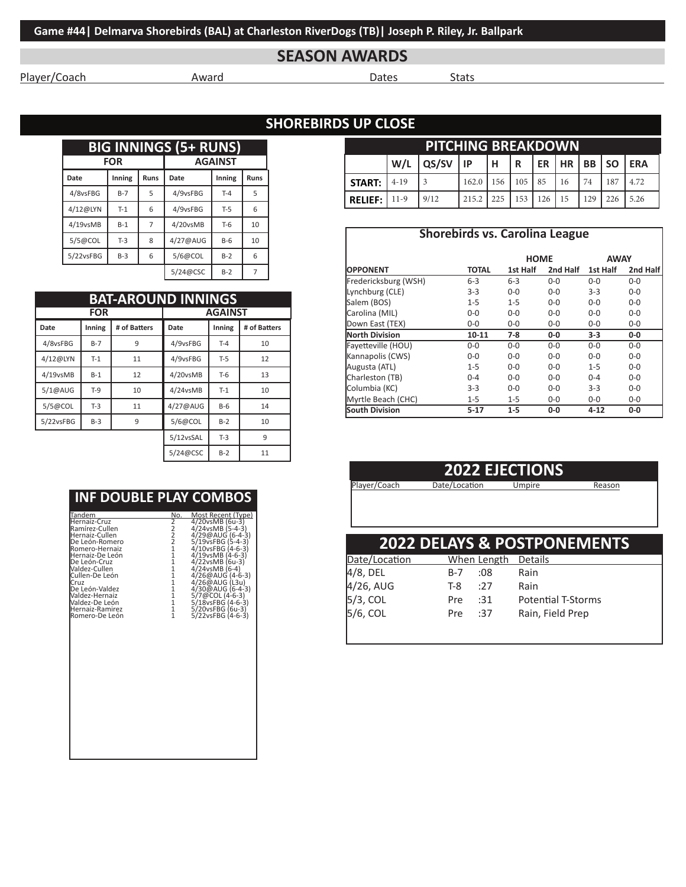# **SEASON AWARDS**

Player/Coach Award Dates Stats

## **SHOREBIRDS UP CLOSE**

| <b>BIG INNINGS (5+ RUNS)</b> |            |             |                |        |             |  |  |  |
|------------------------------|------------|-------------|----------------|--------|-------------|--|--|--|
|                              | <b>FOR</b> |             | <b>AGAINST</b> |        |             |  |  |  |
| Date                         | Inning     | <b>Runs</b> | Date           | Inning | <b>Runs</b> |  |  |  |
| 4/8vsFBG                     | $B-7$      | 5           | 4/9vsFBG       | $T-4$  | 5           |  |  |  |
| 4/12@LYN                     | $T-1$      | 6           | 4/9vsFBG       | $T-5$  | 6           |  |  |  |
| $4/19$ vsMB                  | $B-1$      | 7           | 4/20vsMB       | $T-6$  | 10          |  |  |  |
| 5/5@COL                      | $T-3$      | 8           | 4/27@AUG       | $B-6$  | 10          |  |  |  |
| 5/22vsFBG                    | $B-3$      | 6           | 5/6@COL        | $B-2$  | 6           |  |  |  |
|                              |            |             | 5/24@CSC       | $B-2$  |             |  |  |  |

|           | <b>BAT-AROUND INNINGS</b> |              |                |        |              |  |  |
|-----------|---------------------------|--------------|----------------|--------|--------------|--|--|
|           | <b>FOR</b>                |              | <b>AGAINST</b> |        |              |  |  |
| Date      | Inning                    | # of Batters | Date           | Inning | # of Batters |  |  |
| 4/8vsFBG  | $B-7$                     | 9            | 4/9vsFBG       | $T-4$  | 10           |  |  |
| 4/12@LYN  | $T-1$                     | 11           | 4/9vsFBG       | $T-5$  | 12           |  |  |
| 4/19vsMB  | $B-1$                     | 12           | 4/20vsMB       | $T-6$  | 13           |  |  |
| 5/1@AUG   | $T-9$                     | 10           | 4/24vsMB       | $T-1$  | 10           |  |  |
| 5/5@COL   | $T-3$                     | 11           | 4/27@AUG       | $B-6$  | 14           |  |  |
| 5/22vsFBG | $B-3$                     | 9            | 5/6@COL        | $B-2$  | 10           |  |  |
|           |                           |              | 5/12vsSAL      | $T-3$  | 9            |  |  |
|           |                           |              | 5/24@CSC       | $B-2$  | 11           |  |  |

## **INF DOUBLE PLAY COMBOS**

| Tandem                                                                                                                                                                                                                                                                          | No.                                                                                                                                                                                                                               | Most Recent (Type)                                                                                                                                                                                                                                                                                            |
|---------------------------------------------------------------------------------------------------------------------------------------------------------------------------------------------------------------------------------------------------------------------------------|-----------------------------------------------------------------------------------------------------------------------------------------------------------------------------------------------------------------------------------|---------------------------------------------------------------------------------------------------------------------------------------------------------------------------------------------------------------------------------------------------------------------------------------------------------------|
| Hernaiz-Cruz<br>Ramírez-Cullen<br>Hernaiz-Cullen<br>De León-Romero<br>Romero-Hernaiz<br>Hernaiz-De León<br>De León-Cruz<br>Valdez-Cullen<br><b>l</b> Cullen-De León<br>Cruz<br>De León-Valdez<br>Valdez-Hernaiz<br>Valdez-De León<br>Hernaiz-Ramirez<br><b>l</b> Romero-De León | $\frac{2}{2}$<br>$\frac{2}{2}$<br>$\frac{2}{1}$<br>$\overline{1}$<br>$\overline{1}$<br>$\overline{1}$<br>$\overline{1}$<br>$\overline{1}$<br>$\overline{1}$<br>$\overline{1}$<br>$\overline{1}$<br>$\overline{1}$<br>$\mathbf{1}$ | 4/20vsMB (6u-3)<br>$4/24$ vsMB $(5-4-3)$<br>$4/29@AUG(6-4-3)$<br>5/19vsFBG (5-4-3)<br>4/10vsFBG (4-6-3)<br>4/19vsMB (4-6-3)<br>4/22vsMB (6u-3)<br>$4/24v5MB(6-4)$<br>$4/26@AUG(4-6-3)$<br>4/26@AUG (L3u)<br>4/30@AUG (6-4-3)<br>5/7@COL (4-6-3)<br>5/18vsFBG (4-6-3)<br>5/20vsFBG (6u-3)<br>5/22vsFBG (4-6-3) |

| <b>PITCHING BREAKDOWN</b> |          |       |       |     |     |            |    |     |     |      |
|---------------------------|----------|-------|-------|-----|-----|------------|----|-----|-----|------|
|                           | W/L      | QS/SV | l IP. |     |     |            |    |     |     |      |
| <b>START:</b>             | $4 - 19$ |       | 162.0 | 156 | 105 | 185        | 16 | 74  | 187 | 4.72 |
| <b>RELIEF:</b>            | $11-9$   | 9/12  | 215.2 | 225 | 153 | $126$   15 |    | 129 | 226 | 5.26 |

|                      | <b>Shorebirds vs. Carolina League</b> |             |          |             |          |
|----------------------|---------------------------------------|-------------|----------|-------------|----------|
|                      |                                       | <b>HOME</b> |          | <b>AWAY</b> |          |
| <b>IOPPONENT</b>     | <b>TOTAL</b>                          | 1st Half    | 2nd Half | 1st Half    | 2nd Half |
| Fredericksburg (WSH) | $6 - 3$                               | $6 - 3$     | $0 - 0$  | $0 - 0$     | $0 - 0$  |
| Lynchburg (CLE)      | $3 - 3$                               | $0 - 0$     | $0 - 0$  | $3-3$       | $0 - 0$  |
| Salem (BOS)          | $1 - 5$                               | $1 - 5$     | $0 - 0$  | $0 - 0$     | $0-0$    |
| Carolina (MIL)       | $0 - 0$                               | $0 - 0$     | $0 - 0$  | $0 - 0$     | $0 - 0$  |
| Down East (TEX)      | $0 - 0$                               | $0 - 0$     | $0 - 0$  | $0 - 0$     | $0 - 0$  |
| North Division       | 10-11                                 | $7-8$       | $0-0$    | $3-3$       | $0-0$    |
| Fayetteville (HOU)   | $0 - 0$                               | $0 - 0$     | $0 - 0$  | $0 - 0$     | $0 - 0$  |
| Kannapolis (CWS)     | $0 - 0$                               | $0 - 0$     | $0 - 0$  | $0 - 0$     | $0 - 0$  |
| Augusta (ATL)        | $1 - 5$                               | $0 - 0$     | $0 - 0$  | $1 - 5$     | $0 - 0$  |
| Charleston (TB)      | $0 - 4$                               | $0 - 0$     | $0 - 0$  | $0 - 4$     | $0-0$    |
| Columbia (KC)        | $3-3$                                 | $0 - 0$     | $0 - 0$  | $3-3$       | $0-0$    |
| Myrtle Beach (CHC)   | $1 - 5$                               | $1 - 5$     | $0 - 0$  | $0 - 0$     | $0 - 0$  |
| South Division       | $5 - 17$                              | $1-5$       | $0-0$    | $4 - 12$    | $0-0$    |

## **2022 EJECTIONS**

Player/Coach Date/Location Umpire Reason

|                                               |     |             | 2022 DELAYS & POSTPONEMENTS |
|-----------------------------------------------|-----|-------------|-----------------------------|
|                                               |     |             |                             |
| Date/Location                                 |     | When Length | Details                     |
|                                               | B-7 | :08         | Rain                        |
|                                               | T-8 | :27         | Rain                        |
| 4/8, DEL<br>4/26, AUG<br>5/3, COL<br>5/6, COL | Pre | :31         | <b>Potential T-Storms</b>   |
|                                               | Pre | :37         | Rain, Field Prep            |
|                                               |     |             |                             |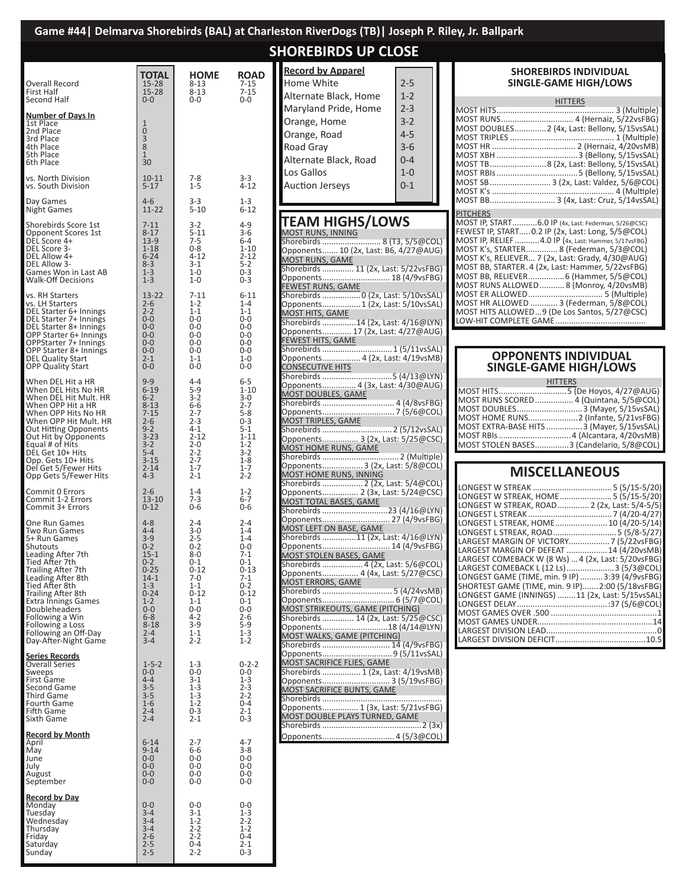|                                                                                                                                                                                                                                                                                                                            |                                                                                                                                                                               |                                                                                                                                                                      |                                                                                                                                                                        | Game #44   Delmarva Shorebirds (BAL) at Charleston RiverDogs (TB)   Joseph P. Riley, Jr. Ballpark                                                                                                                                                                                                                                                                                                             |                                                                                                                                                                                                                                                                                                                                                                                                            |
|----------------------------------------------------------------------------------------------------------------------------------------------------------------------------------------------------------------------------------------------------------------------------------------------------------------------------|-------------------------------------------------------------------------------------------------------------------------------------------------------------------------------|----------------------------------------------------------------------------------------------------------------------------------------------------------------------|------------------------------------------------------------------------------------------------------------------------------------------------------------------------|---------------------------------------------------------------------------------------------------------------------------------------------------------------------------------------------------------------------------------------------------------------------------------------------------------------------------------------------------------------------------------------------------------------|------------------------------------------------------------------------------------------------------------------------------------------------------------------------------------------------------------------------------------------------------------------------------------------------------------------------------------------------------------------------------------------------------------|
|                                                                                                                                                                                                                                                                                                                            |                                                                                                                                                                               |                                                                                                                                                                      |                                                                                                                                                                        | <b>SHOREBIRDS UP CLOSE</b>                                                                                                                                                                                                                                                                                                                                                                                    |                                                                                                                                                                                                                                                                                                                                                                                                            |
| Overall Record<br>First Half<br>Second Half                                                                                                                                                                                                                                                                                | <b>TOTAL</b><br>$15 - 28$<br>$15 - 28$<br>$0 - 0$                                                                                                                             | <b>HOME</b><br>$8 - 13$<br>$8 - 13$<br>$0-0$                                                                                                                         | <b>ROAD</b><br>$7 - 15$<br>$7 - 15$<br>$0-0$                                                                                                                           | <b>Record by Apparel</b><br>Home White<br>$2 - 5$<br>Alternate Black, Home<br>$1 - 2$                                                                                                                                                                                                                                                                                                                         | <b>SHOREBIRDS IN</b><br>SINGLE-GAME I<br><b>HITTEF</b>                                                                                                                                                                                                                                                                                                                                                     |
| <u>Number of Days In</u><br>1st Place<br>2nd Place<br>3rd Place<br>4th Place<br>5th Place<br>6th Place                                                                                                                                                                                                                     | 1<br>$\mathbf 0$<br>3<br>8<br>1<br>30                                                                                                                                         |                                                                                                                                                                      |                                                                                                                                                                        | Maryland Pride, Home<br>$2 - 3$<br>$3 - 2$<br>Orange, Home<br>Orange, Road<br>$4 - 5$<br>$3 - 6$<br>Road Gray<br>Alternate Black, Road<br>$0 - 4$                                                                                                                                                                                                                                                             | MOST DOUBLES2 (4x, Las<br>MOST TRIPLES<br>MOST TB8 (2x, Las                                                                                                                                                                                                                                                                                                                                                |
| vs. North Division<br>vs. South Division                                                                                                                                                                                                                                                                                   | $10 - 11$<br>$5 - 17$                                                                                                                                                         | $7 - 8$<br>$1 - 5$                                                                                                                                                   | $3 - 3$<br>$4 - 12$                                                                                                                                                    | Los Gallos<br>$1 - 0$<br><b>Auction Jerseys</b><br>$0 - 1$                                                                                                                                                                                                                                                                                                                                                    | MOST SB  3 (2x, La                                                                                                                                                                                                                                                                                                                                                                                         |
| Day Games<br>Night Games                                                                                                                                                                                                                                                                                                   | $4 - 6$<br>$11 - 22$                                                                                                                                                          | $3 - 3$<br>$5 - 10$                                                                                                                                                  | $1 - 3$<br>$6 - 12$                                                                                                                                                    |                                                                                                                                                                                                                                                                                                                                                                                                               | MOST BB 3 (4x,<br><b>PITCHERS</b>                                                                                                                                                                                                                                                                                                                                                                          |
| Shorebirds Score 1st<br>Opponent Scores 1st<br>DEL Score 4+<br>DEL Score 3-<br>DEL Allow 4+<br>DEL Allow 3-<br>Games Won in Last AB<br><b>Walk-Off Decisions</b>                                                                                                                                                           | $7 - 11$<br>$8 - 17$<br>$13-9$<br>$1 - 18$<br>$6 - 24$<br>$8 - 3$<br>$1 - 3$<br>$1 - 3$                                                                                       | $3 - 2$<br>$5 - 11$<br>$7 - 5$<br>$0 - 8$<br>$4 - 12$<br>$3-1$<br>$1 - 0$<br>$1 - 0$                                                                                 | $4 - 9$<br>$3 - 6$<br>$6-4$<br>$1 - 10$<br>$2 - 12$<br>$5 - 2$<br>$0 - 3$<br>$0 - 3$                                                                                   | <b>TEAM HIGHS/LOWS</b><br><b>MOST RUNS, INNING</b><br>Shorebirds  8 (T3, 5/5@COL)<br>Opponents 10 (2x, Last: B6, 4/27@AUG)<br><b>MOST RUNS, GAME</b><br>Shorebirds  11 (2x, Last: 5/22vsFBG)<br>Opponents 18 (4/9vsFBG)<br>FEWEST RUNS, GAME                                                                                                                                                                  | MOST IP, START6.0 IP (4x, Las<br>FEWEST IP, START 0.2 IP (2x, Las<br>MOST IP, RELIEF 4.0 IP (4x, La<br>MOST K's, STARTER 8 (Fed<br>MOST K's, RELIEVER 7 (2x, Last: 0<br>MOST BB, STARTER. 4 (2x, Last: Ha<br>MOST BB, RELIEVER 6 (H<br>MOST RUNS ALLOWED8 (N                                                                                                                                               |
| vs. RH Starters<br>vs. LH Starters<br>DEL Starter 6+ Innings<br>DEL Starter 7+ Innings<br>DEL Starter 8+ Innings<br>OPP Starter 6+ Innings<br>OPPStarter 7+ Innings<br>OPP Starter 8+ Innings<br>DEL Quality Start<br><b>OPP Quality Start</b>                                                                             | $13 - 22$<br>$2 - 6$<br>$2 - 2$<br>$0 - 0$<br>$0 - 0$<br>$0 - 0$<br>$0 - 0$<br>$0 - 0$<br>$2 - 1$<br>$0 - 0$                                                                  | $7 - 11$<br>$1 - 2$<br>$1 - 1$<br>$0-0$<br>$0-0$<br>$0-0$<br>$0-0$<br>$0 - 0$<br>$1 - 1$<br>$0 - 0$                                                                  | $6 - 11$<br>$1 - 4$<br>$1 - 1$<br>$0-0$<br>$0-0$<br>$0-0$<br>$0-0$<br>$0-0$<br>$1 - 0$<br>$0-0$                                                                        | Opponents 1 (2x, Last: 5/10vsSAL)<br>MOST HITS, GAME<br>Shorebirds 14 (2x, Last: 4/16@LYN)<br>Opponents 17 (2x, Last: 4/27@AUG)<br>FEWEST HITS, GAME<br>Shorebirds  1 (5/11vsSAL)<br>Opponents 4 (2x, Last: 4/19vsMB)<br>CONSECUTIVE HITS                                                                                                                                                                     | MOST ER ALLOWED<br>MOST HR ALLOWED  3 (Fed<br>MOST HITS ALLOWED9 (De Los 9<br>LOW-HIT COMPLETE GAME<br><b>OPPONENTS IN</b><br><b>SINGLE-GAME HI</b>                                                                                                                                                                                                                                                        |
| When DEL Hit a HR<br>When DEL Hits No HR<br>When DEL Hit Mult. HR<br>When OPP Hit a HR<br>When OPP Hits No HR<br>When OPP Hit Mult. HR<br>Out Hitting Opponents<br>Out Hit by Opponents<br>Equal # of Hits<br>DÊL Get 10+ Hits<br>Opp. Gets 10+ Hits<br>Del Get 5/Fewer Hits                                               | $9 - 9$<br>$6 - 19$<br>$6 - 2$<br>$8 - 13$<br>$7 - 15$<br>$2 - 6$<br>$9 - 2$<br>$3 - 23$<br>$3 - 2$<br>$5 - 4$<br>$3 - 15$<br>$2 - 14$                                        | $4 - 4$<br>$5-9$<br>$3 - 2$<br>$6-6$<br>$2 - 7$<br>$2 - 3$<br>$4 - 1$<br>$2 - 12$<br>$2 - 0$<br>$2 - 2$<br>$2 - 7$<br>$1 - 7$                                        | $6-5$<br>$1 - 10$<br>$3 - 0$<br>$2 - 7$<br>$5 - 8$<br>$0 - 3$<br>$5 - 1$<br>$1 - 11$<br>$1 - 2$<br>$3 - 2$<br>$1 - 8$<br>$1 - 7$                                       | Opponents 4 (3x, Last: 4/30@AUG)<br>MOST DOUBLES, GAME<br>MOST TRIPLES, GAME<br>Opponents 3 (2x, Last: 5/25@CSC)<br>MOST HOME RUNS, GAME<br>Opponents 3 (2x, Last: 5/8@COL)                                                                                                                                                                                                                                   | <b>HITTERS</b><br>MOST DOUBLES<br><b>MOST HOME RUNS</b><br>MOST EXTRA-BASE HITS<br>MOST RBIs 4<br>MOST STOLEN BASES3 (<br><b>MISCELLAN</b>                                                                                                                                                                                                                                                                 |
| Opp Gets 5/Fewer Hits<br>Commit 0 Errors<br>Commit 1-2 Errors<br>Commit 3+ Errors                                                                                                                                                                                                                                          | $4 - 3$<br>$2 - 6$<br>$13 - 10$<br>$0 - 12$                                                                                                                                   | $2 - 1$<br>$1 - 4$<br>$7 - 3$<br>$0-6$                                                                                                                               | $2 - 2$<br>$1 - 2$<br>$6 - 7$<br>$0 - 6$                                                                                                                               | MOST HOME RUNS, INNING<br>Shorebirds  2 (2x, Last: 5/4@COL)<br>Opponents 2 (3x, Last: 5/24@CSC)<br>MOST TOTAL BASES, GAME                                                                                                                                                                                                                                                                                     | LONGEST W STREAK<br>LONGEST W STREAK, HOME<br>LONGEST W STREAK, ROAD                                                                                                                                                                                                                                                                                                                                       |
| One Run Games<br>Two Run Games<br>5+ Run Games<br>Shutouts<br>Leading After 7th<br>Tied After 7th<br>Trailing After 7th<br>Leading After 8th<br>Tied After 8th<br>Trailing After 8th<br><b>Extra Innings Games</b><br>Doubleheaders<br>Following a Win<br>Following a Loss<br>Following an Off-Day<br>Day-After-Night Game | $4 - 8$<br>$4 - 4$<br>$3 - 9$<br>$0 - 2$<br>$15 - 1$<br>$0 - 2$<br>$0 - 25$<br>$14-1$<br>$1 - 3$<br>$0 - 24$<br>$1 - 2$<br>$0-0$<br>$6 - 8$<br>$8 - 18$<br>$2 - 4$<br>$3 - 4$ | $2 - 4$<br>$3 - 0$<br>$2 - 5$<br>$0 - 2$<br>$8-0$<br>$0 - 1$<br>$0 - 12$<br>7-0<br>$1 - 1$<br>$0 - 12$<br>$1 - 1$<br>0-0<br>$4 - 2$<br>$3 - 9$<br>$1 - 1$<br>$2 - 2$ | $2 - 4$<br>$1 - 4$<br>$1 - 4$<br>$0-0$<br>$7 - 1$<br>$0 - 1$<br>$0 - 13$<br>$7-1$<br>$0 - 2$<br>$0 - 12$<br>$0 - 1$<br>$0-0$<br>$2 - 6$<br>$5-9$<br>$1 - 3$<br>$1 - 2$ | Opponents 27 (4/9vsFBG)<br>MOST LEFT ON BASE, GAME<br>Shorebirds 11 (2x, Last: 4/16@LYN)<br>Opponents 14 (4/9vsFBG)<br>MOST STOLEN BASES, GAME<br>Shorebirds  4 (2x, Last: 5/6@COL)<br>Opponents 4 (4x, Last: 5/27@CSC)<br>MOST ERRORS, GAME<br>MOST STRIKEOUTS, GAME (PITCHING)<br>Shorebirds  14 (2x, Last: 5/25@CSC)<br>Opponents18 (4/14@LYN)<br>MOST WALKS, GAME (PITCHING)<br>Shorebirds  14 (4/9vsFBG) | LONGEST L STREAK<br>LONGEST L STREAK, HOME<br>LONGEST L STREAK, ROAD<br>LARGEST MARGIN OF VICTORY<br>LARGEST MARGIN OF DEFEAT<br>LARGEST COMEBACK W (8 Ws)<br>LARGEST COMEBACK L (12 Ls)<br>LONGEST GAME (TIME, min. 9 IP)<br>SHORTEST GAME (TIME, min. 9 IP<br>LONGEST GAME (INNINGS) 1<br>LONGEST DELAY<br>MOST GAMES OVER .500<br>MOST GAMES UNDER<br>LARGEST DIVISION LEAD<br>LARGEST DIVISION DEFICIT |
| <u>Series Records</u><br>Overall Series<br>Sweeps<br>First Game<br>Second Game<br><b>Third Game</b><br>Fourth Game<br>Fifth Game<br>Sixth Game                                                                                                                                                                             | $1 - 5 - 2$<br>$0-0$<br>4-4<br>$3 - 5$<br>$\frac{5}{3-5}$<br>$1-6$<br>$2 - 4$<br>$2 - 4$                                                                                      | $1 - 3$<br>$0-0$<br>$3 - 1$<br>$1 - 3$<br>$1 - 3$<br>$1 - 2$<br>$0 - 3$<br>$2 - 1$                                                                                   | $0 - 2 - 2$<br>0-0<br>$1 - 3$<br>$2 - 3$<br>$2 - 2$<br>0-4<br>$2 - 1$<br>$0 - 3$                                                                                       | MOST SACRIFICE FLIES, GAME<br>Shorebirds  1 (2x, Last: 4/19vsMB)<br>Opponents 3 (5/19vsFBG)<br>MOST SACRIFICE BUNTS, GAME<br>Opponents 1 (3x, Last: 5/21vsFBG)<br>MOST DOUBLE PLAYS TURNED, GAME                                                                                                                                                                                                              |                                                                                                                                                                                                                                                                                                                                                                                                            |
| <b>Record by Month</b><br>April<br>May<br>June<br>July<br>August<br>September                                                                                                                                                                                                                                              | $6 - 14$<br>$9 - 14$<br>$0-0$<br>$0-0$<br>$0-0$<br>$0 - 0$                                                                                                                    | $2 - 7$<br>$6-6$<br>$0-0$<br>$0-0$<br>$0-0$<br>$0-0$                                                                                                                 | 4-7<br>$3 - 8$<br>$0-0$<br>0-0<br>0-0<br>$0-0$                                                                                                                         |                                                                                                                                                                                                                                                                                                                                                                                                               |                                                                                                                                                                                                                                                                                                                                                                                                            |

**Record by Day** Monday 0-0 0-0 0-0 Tuesday 3-4 3-1 1-3 Wednesday 3-4 1-2 2-2 Thursday 3-4 2-2 1-2 Friday 2-6 2-2 0-4 Saturday 2-5 0-4 2-1 Sunday 2-5 2-2 0-3

#### **SHOREBIRDS INDIVIDUAL SINGLE-GAME HIGH/LOWS**

| <b>HITTERS</b>                                       |  |
|------------------------------------------------------|--|
|                                                      |  |
| MOST RUNS 4 (Hernaiz, 5/22vsFBG)                     |  |
| MOST DOUBLES2 (4x, Last: Bellony, 5/15vsSAL)         |  |
|                                                      |  |
|                                                      |  |
|                                                      |  |
| MOST TB8 (2x, Last: Bellony, 5/15vsSAL)              |  |
|                                                      |  |
| MOST SB 3 (2x, Last: Valdez, 5/6@COL)                |  |
|                                                      |  |
| MOST BB 3 (4x, Last: Cruz, 5/14vsSAL)                |  |
| <b>PITCHERS</b>                                      |  |
| MOST IP, START6.0 IP (4x, Last: Federman, 5/26@CSC)  |  |
| FEWEST IP, START 0.2 IP (2x, Last: Long, 5/5@COL)    |  |
| MOST IP, RELIEF 4.0 IP (4x, Last: Hammer, 5/17vsFBG) |  |
| MOST K's, STARTER 8 (Federman, 5/3@COL)              |  |
| MOST K's, RELIEVER 7 (2x, Last: Grady, 4/30@AUG)     |  |
| MOST BB, STARTER.4 (2x, Last: Hammer, 5/22vsFBG)     |  |
| MOST BB, RELIEVER 6 (Hammer, 5/5@COL)                |  |
| MOST RUNS ALLOWED  8 (Monroy, 4/20vsMB)              |  |
| MOST HR ALLOWED  3 (Federman, 5/8@COL)               |  |
|                                                      |  |

Santos, 5/27@CSC) LOW-HIT COMPLETE GAME........................................

#### **OPPONENTS INDIVIDUAL SINGLE-GAME HIGH/LOWS**

| <b>HITTERS</b>                             |
|--------------------------------------------|
|                                            |
| MOST RUNS SCORED  4 (Quintana, 5/5@COL)    |
| MOST DOUBLES 3 (Mayer, 5/15vsSAL)          |
| MOST HOME RUNS2 (Infante, 5/21vsFBG)       |
| MOST EXTRA-BASE HITS  3 (Mayer, 5/15vsSAL) |
|                                            |
| MOST STOLEN BASES3 (Candelario, 5/8@COL)   |

## **NEOUS**

| LONGEST W STREAK, HOME 5 (5/15-5/20)               |
|----------------------------------------------------|
| LONGEST W STREAK, ROAD 2 (2x, Last: 5/4-5/5)       |
|                                                    |
| LONGEST L STREAK, HOME 10 (4/20-5/14)              |
| LONGEST L STREAK, ROAD 5 (5/8-5/27)                |
|                                                    |
| LARGEST MARGIN OF DEFEAT  14 (4/20vsMB)            |
| LARGEST COMEBACK W (8 Ws)  4 (2x, Last: 5/20vsFBG) |
| LARGEST COMEBACK L (12 Ls)  3 (5/3@COL)            |
| LONGEST GAME (TIME, min. 9 IP)  3:39 (4/9vsFBG)    |
| SHORTEST GAME (TIME, min. 9 IP) 2:00 (5/18vsFBG)   |
| LONGEST GAME (INNINGS) 11 (2x, Last: 5/15vsSAL)    |
|                                                    |
|                                                    |
|                                                    |
|                                                    |
|                                                    |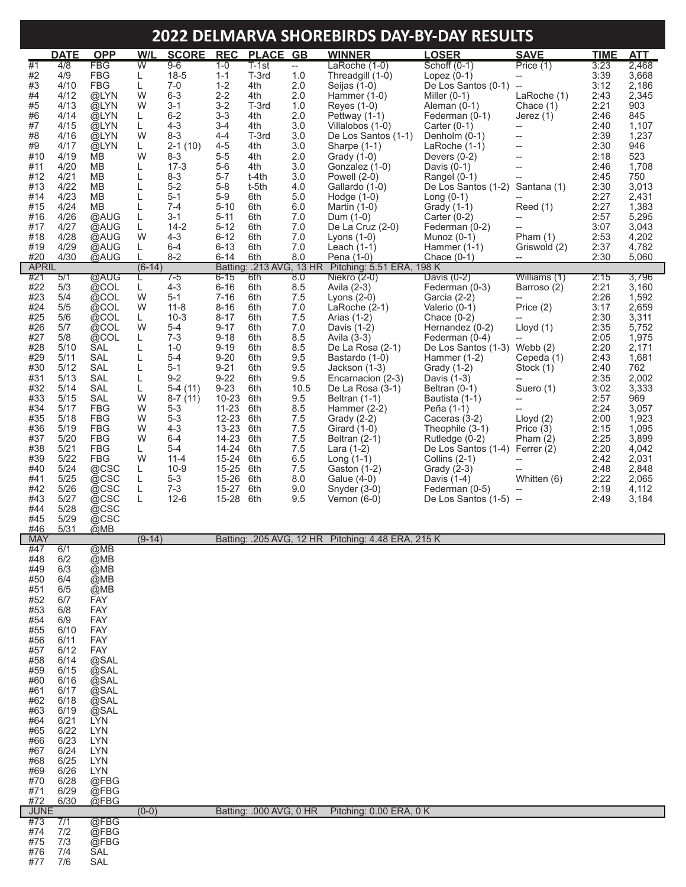# **2022 DELMARVA SHOREBIRDS DAY-BY-DAY RESULTS**

|                     | <b>DATE</b>  | <b>OPP</b>               | W/L            | <b>SCORE</b>           | <b>REC</b>             | <b>PLACE</b>            | GB         | <b>WINNER</b>                                                      | <u>LOSER</u>                                     | <b>SAVE</b>                                   | <b>TIME</b>  | <b>ATT</b>     |
|---------------------|--------------|--------------------------|----------------|------------------------|------------------------|-------------------------|------------|--------------------------------------------------------------------|--------------------------------------------------|-----------------------------------------------|--------------|----------------|
| #1                  | 4/8          | <b>FBG</b><br><b>FBG</b> | $\overline{W}$ | $9 - 6$<br>$18-5$      | $1 - 0$<br>$1 - 1$     | $T-1st$<br>T-3rd        | $ -$       | LaRoche (1-0)<br>Threadgill (1-0)                                  | Schoff (0-1)                                     | Price (1)                                     | 3:23<br>3:39 | 2,468          |
| #2<br>#3            | 4/9<br>4/10  | <b>FBG</b>               | L<br>L         | $7 - 0$                | $1 - 2$                | 4th                     | 1.0<br>2.0 | Seijas (1-0)                                                       | Lopez $(0-1)$<br>De Los Santos (0-1)             | $\overline{\phantom{a}}$<br>$\qquad \qquad -$ | 3:12         | 3,668<br>2,186 |
| #4                  | 4/12         | @LYN                     | W              | $6 - 3$                | $2 - 2$                | 4th                     | 2.0        | Hammer (1-0)                                                       | Miller $(0-1)$                                   | LaRoche (1)                                   | 2:43         | 2,345          |
| #5<br>#6            | 4/13<br>4/14 | @LYN<br>@LYN             | W<br>L         | $3 - 1$<br>$6 - 2$     | $3 - 2$<br>$3 - 3$     | T-3rd<br>4th            | 1.0<br>2.0 | Reyes (1-0)<br>Pettway (1-1)                                       | Aleman (0-1)<br>Federman (0-1)                   | Chace (1)<br>Jerez $(1)$                      | 2:21<br>2:46 | 903<br>845     |
| #7                  | 4/15         | @LYN                     | L              | $4 - 3$                | $3 - 4$                | 4th                     | 3.0        | Villalobos (1-0)                                                   | Carter $(0-1)$                                   | $\overline{\phantom{a}}$                      | 2:40         | 1,107          |
| #8<br>#9            | 4/16         | @LYN                     | W              | $8 - 3$<br>$2 - 1(10)$ | $4 - 4$<br>$4 - 5$     | T-3rd                   | 3.0<br>3.0 | De Los Santos (1-1)                                                | Denholm (0-1)                                    | --                                            | 2:39<br>2:30 | 1,237<br>946   |
| #10                 | 4/17<br>4/19 | @LYN<br><b>MB</b>        | L<br>W         | $8 - 3$                | $5-5$                  | 4th<br>4th              | 2.0        | Sharpe (1-1)<br>Grady (1-0)                                        | LaRoche $(1-1)$<br>Devers $(0-2)$                | --<br>--                                      | 2:18         | 523            |
| #11                 | 4/20         | <b>MB</b>                | L              | $17-3$                 | $5-6$                  | 4th                     | 3.0        | Gonzalez (1-0)                                                     | Davis $(0-1)$                                    | $\overline{\phantom{a}}$                      | 2:46         | 1,708          |
| #12<br>#13          | 4/21<br>4/22 | <b>MB</b><br><b>MB</b>   | L<br>L         | $8 - 3$<br>$5-2$       | $5 - 7$<br>$5 - 8$     | t-4th<br>t-5th          | 3.0<br>4.0 | Powell (2-0)<br>Gallardo (1-0)                                     | Rangel (0-1)<br>De Los Santos (1-2)              | Santana (1)                                   | 2:45<br>2:30 | 750<br>3,013   |
| #14                 | 4/23         | <b>MB</b>                | L              | $5 - 1$                | $5-9$                  | 6th                     | 5.0        | Hodge $(1-0)$                                                      | Long $(0-1)$                                     |                                               | 2:27         | 2,431          |
| #15<br>#16          | 4/24<br>4/26 | <b>MB</b><br>@AUG        | L<br>L         | $7 - 4$<br>$3 - 1$     | $5 - 10$<br>$5 - 11$   | 6th<br>6th              | 6.0<br>7.0 | Martin $(1-0)$<br>Dum (1-0)                                        | Grady (1-1)<br>Carter $(0-2)$                    | Reed(1)<br>--                                 | 2:27<br>2:57 | 1,383<br>5,295 |
| #17                 | 4/27         | @AUG                     | L              | $14 - 2$               | $5 - 12$               | 6th                     | 7.0        | De La Cruz (2-0)                                                   | Federman (0-2)                                   |                                               | 3:07         | 3,043          |
| #18<br>#19          | 4/28<br>4/29 | @AUG<br>@AUG             | W<br>L         | $4 - 3$<br>$6 - 4$     | $6 - 12$<br>$6 - 13$   | 6th<br>6th              | 7.0<br>7.0 | Lyons $(1-0)$<br>Leach $(1-1)$                                     | Munoz $(0-1)$<br>Hammer $(1-1)$                  | Pham $(1)$<br>Griswold (2)                    | 2:53<br>2:37 | 4,202<br>4,782 |
| #20                 | 4/30         | @AUG                     |                | $8 - 2$                | $6 - 14$               | 6th                     | 8.0        | Pena (1-0)                                                         | Chace $(0-1)$                                    | --                                            | 2:30         | 5,060          |
| <b>APRIL</b><br>#21 | 5/1          | @AUG                     | $(6-14)$<br>L. | 7-5                    | $6 - 15$               | 6th                     | 8.0        | Batting: .213 AVG, 13 HR Pitching: 5.51 ERA, 198 K<br>Niekro (2-0) | Davis $(0-2)$                                    | Williams (1)                                  | 2:15         | 3,796          |
| #22                 | 5/3          | @COL                     | L              | $4 - 3$                | $6 - 16$               | 6th                     | 8.5        | Avila (2-3)                                                        | Federman (0-3)                                   | Barroso (2)                                   | 2:21         | 3,160          |
| #23                 | 5/4          | @COL                     | W              | $5 - 1$                | $7 - 16$               | 6th                     | 7.5        | Lyons $(2-0)$                                                      | Garcia (2-2)                                     | --                                            | 2:26         | 1,592          |
| #24<br>#25          | 5/5<br>5/6   | @COL<br>@COL             | W<br>L         | $11 - 8$<br>$10-3$     | $8 - 16$<br>$8 - 17$   | 6th<br>6th              | 7.0<br>7.5 | LaRoche $(2-1)$<br>Arias (1-2)                                     | Valerio (0-1)<br>Chace $(0-2)$                   | Price (2)                                     | 3:17<br>2:30 | 2,659<br>3,311 |
| #26                 | 5/7          | @COL                     | W              | $5 - 4$                | $9 - 17$               | 6th                     | 7.0        | Davis (1-2)                                                        | Hernandez (0-2)                                  | Lloyd (1)                                     | 2:35         | 5,752          |
| #27<br>#28          | 5/8<br>5/10  | @COL<br>SAL              | L<br>L         | $7 - 3$<br>$1 - 0$     | $9 - 18$<br>$9 - 19$   | 6th<br>6th              | 8.5<br>8.5 | Avila (3-3)<br>De La Rosa (2-1)                                    | Federman (0-4)<br>De Los Santos (1-3)            | $\overline{a}$<br>Webb $(2)$                  | 2:05<br>2:20 | 1,975<br>2,171 |
| #29                 | 5/11         | SAL                      | L              | $5 - 4$                | $9 - 20$               | 6th                     | 9.5        | Bastardo (1-0)                                                     | Hammer (1-2)                                     | Cepeda (1)                                    | 2:43         | 1,681          |
| #30<br>#31          | 5/12<br>5/13 | <b>SAL</b><br>SAL        | L<br>L         | $5 - 1$<br>$9 - 2$     | $9 - 21$<br>$9 - 22$   | 6th<br>6th              | 9.5<br>9.5 | Jackson (1-3)<br>Encarnacion (2-3)                                 | Grady (1-2)<br>Davis (1-3)                       | Stock (1)<br>--                               | 2:40<br>2:35 | 762<br>2,002   |
| #32                 | 5/14         | <b>SAL</b>               | L              | $5-4(11)$              | $9 - 23$               | 6th                     | 10.5       | De La Rosa (3-1)                                                   | Beltran (0-1)                                    | Suero (1)                                     | 3:02         | 3,333          |
| #33<br>#34          | 5/15<br>5/17 | SAL<br><b>FBG</b>        | W<br>W         | $8-7(11)$<br>$5 - 3$   | $10 - 23$<br>$11 - 23$ | 6th<br>6th              | 9.5<br>8.5 | Beltran (1-1)<br>Hammer (2-2)                                      | Bautista (1-1)<br>Peña (1-1)                     | --                                            | 2:57<br>2:24 | 969<br>3,057   |
| #35                 | 5/18         | <b>FBG</b>               | W              | $5 - 3$                | $12 - 23$              | 6th                     | 7.5        | Grady (2-2)                                                        | Caceras (3-2)                                    | Lloyd(2)                                      | 2:00         | 1,923          |
| #36                 | 5/19         | <b>FBG</b><br><b>FBG</b> | W<br>W         | $4 - 3$<br>$6 - 4$     | 13-23<br>$14 - 23$     | 6th<br>6th              | 7.5        | Girard (1-0)                                                       | Theophile (3-1)                                  | Price $(3)$                                   | 2:15         | 1,095          |
| #37<br>#38          | 5/20<br>5/21 | <b>FBG</b>               | L              | $5 - 4$                | $14 - 24$              | 6th                     | 7.5<br>7.5 | Beltran (2-1)<br>Lara $(1-2)$                                      | Rutledge (0-2)<br>De Los Santos (1-4) Ferrer (2) | Pham $(2)$                                    | 2:25<br>2:20 | 3,899<br>4,042 |
| #39                 | 5/22         | <b>FBG</b>               | W              | $11 - 4$               | $15 - 24$              | 6th                     | 6.5        | Long $(1-1)$                                                       | Collins $(2-1)$                                  | --                                            | 2:42         | 2,031          |
| #40<br>#41          | 5/24<br>5/25 | @CSC<br>@CSC             | L<br>L         | $10-9$<br>$5-3$        | $15 - 25$<br>15-26     | 6th<br>6th              | 7.5<br>8.0 | Gaston (1-2)<br>Galue (4-0)                                        | Grady (2-3)<br>Davis (1-4)                       | Whitten (6)                                   | 2:48<br>2:22 | 2,848<br>2,065 |
| #42                 | 5/26         | @CSC                     | L              | $7 - 3$                | $15 - 27$              | 6th                     | 9.0        | Snyder (3-0)                                                       | Federman (0-5)                                   | --                                            | 2:19         | 4,112          |
| #43<br>#44          | 5/27<br>5/28 | @CSC<br>@CSC             | L              | $12-6$                 | 15-28                  | 6th                     | 9.5        | Vernon (6-0)                                                       | De Los Santos (1-5)                              | $-\!$                                         | 2:49         | 3,184          |
| #45                 | 5/29         | @CSC                     |                |                        |                        |                         |            |                                                                    |                                                  |                                               |              |                |
| #46<br><b>MAY</b>   | 5/31         | @MB                      | $(9-14)$       |                        |                        |                         |            | Batting: .205 AVG, 12 HR Pitching: 4.48 ERA, 215 K                 |                                                  |                                               |              |                |
| #47                 | 6/1          | @MB                      |                |                        |                        |                         |            |                                                                    |                                                  |                                               |              |                |
| #48<br>#49          | 6/2<br>6/3   | @MB<br>@MB               |                |                        |                        |                         |            |                                                                    |                                                  |                                               |              |                |
| #50                 | 6/4          | @MB                      |                |                        |                        |                         |            |                                                                    |                                                  |                                               |              |                |
| #51<br>#52          | 6/5<br>6/7   | @MB<br><b>FAY</b>        |                |                        |                        |                         |            |                                                                    |                                                  |                                               |              |                |
| #53                 | 6/8          | <b>FAY</b>               |                |                        |                        |                         |            |                                                                    |                                                  |                                               |              |                |
| #54<br>#55          | 6/9<br>6/10  | <b>FAY</b><br><b>FAY</b> |                |                        |                        |                         |            |                                                                    |                                                  |                                               |              |                |
| #56                 | 6/11         | <b>FAY</b>               |                |                        |                        |                         |            |                                                                    |                                                  |                                               |              |                |
| #57<br>#58          | 6/12<br>6/14 | <b>FAY</b><br>@SAL       |                |                        |                        |                         |            |                                                                    |                                                  |                                               |              |                |
| #59                 | 6/15         | @SAL                     |                |                        |                        |                         |            |                                                                    |                                                  |                                               |              |                |
| #60                 | 6/16         | @SAL                     |                |                        |                        |                         |            |                                                                    |                                                  |                                               |              |                |
| #61<br>#62          | 6/17<br>6/18 | @SAL<br>@SAL             |                |                        |                        |                         |            |                                                                    |                                                  |                                               |              |                |
| #63                 | 6/19         | @SAL                     |                |                        |                        |                         |            |                                                                    |                                                  |                                               |              |                |
| #64<br>#65          | 6/21<br>6/22 | <b>LYN</b><br><b>LYN</b> |                |                        |                        |                         |            |                                                                    |                                                  |                                               |              |                |
| #66                 | 6/23         | <b>LYN</b>               |                |                        |                        |                         |            |                                                                    |                                                  |                                               |              |                |
| #67<br>#68          | 6/24<br>6/25 | <b>LYN</b><br><b>LYN</b> |                |                        |                        |                         |            |                                                                    |                                                  |                                               |              |                |
| #69                 | 6/26         | <b>LYN</b>               |                |                        |                        |                         |            |                                                                    |                                                  |                                               |              |                |
| #70<br>#71          | 6/28<br>6/29 | @FBG<br>@FBG             |                |                        |                        |                         |            |                                                                    |                                                  |                                               |              |                |
| #72                 | 6/30         | @FBG                     |                |                        |                        |                         |            |                                                                    |                                                  |                                               |              |                |
| <b>JUNE</b><br>#73  | 7/1          | @FBG                     | $(0-0)$        |                        |                        | Batting: .000 AVG, 0 HR |            | Pitching: 0.00 ERA, 0 K                                            |                                                  |                                               |              |                |
| #74                 | 7/2          | @FBG                     |                |                        |                        |                         |            |                                                                    |                                                  |                                               |              |                |
| #75<br>#76          | 7/3<br>7/4   | @FBG<br><b>SAL</b>       |                |                        |                        |                         |            |                                                                    |                                                  |                                               |              |                |

#77 7/6 SAL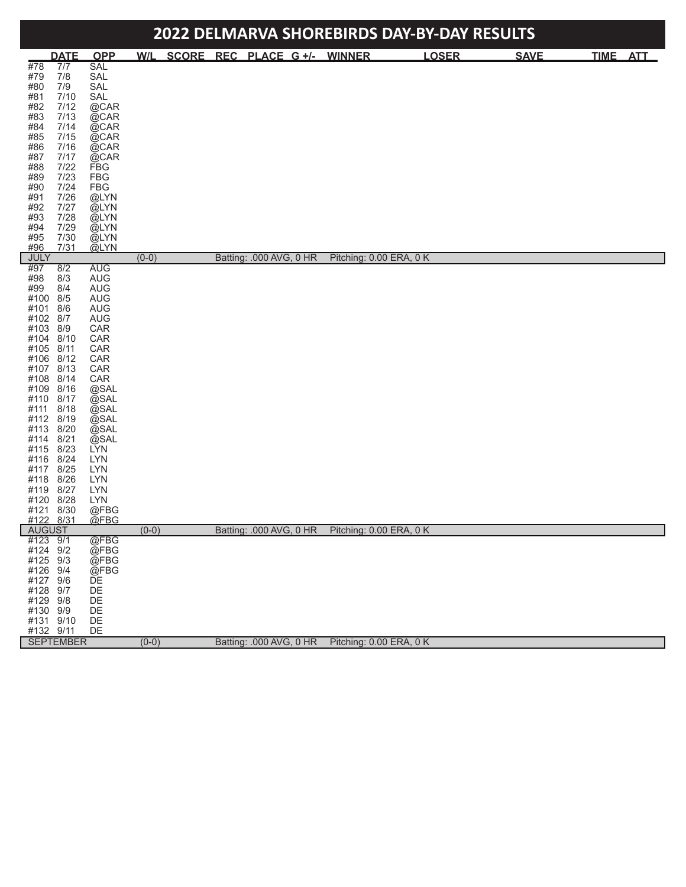| 2022 DELMARVA SHOREBIRDS DAY-BY-DAY RESULTS                                                                                                                                                                                                                                                                                                                                                                        |                                                                                                                                                                                                                                                                                |         |  |  |                              |                         |              |  |             |          |  |
|--------------------------------------------------------------------------------------------------------------------------------------------------------------------------------------------------------------------------------------------------------------------------------------------------------------------------------------------------------------------------------------------------------------------|--------------------------------------------------------------------------------------------------------------------------------------------------------------------------------------------------------------------------------------------------------------------------------|---------|--|--|------------------------------|-------------------------|--------------|--|-------------|----------|--|
| <b>DATE</b>                                                                                                                                                                                                                                                                                                                                                                                                        | <b>OPP</b>                                                                                                                                                                                                                                                                     | W/L     |  |  | SCORE REC PLACE G +/- WINNER |                         | <b>LOSER</b> |  | <b>SAVE</b> | TIME ATT |  |
| #78<br>7/7<br>#79<br>7/8<br>#80<br>7/9<br>#81<br>7/10<br>#82<br>7/12<br>#83<br>7/13<br>7/14<br>#84<br>#85<br>7/15<br>#86<br>7/16<br>#87<br>7/17<br>7/22<br>#88<br>7/23<br>#89<br>$7/24$<br>#90<br>#91<br>7/26<br>#92<br>7/27<br>7/28<br>#93<br>#94<br>7/29<br>#95<br>7/30<br>7/31<br>#96                                                                                                                           | <b>SAL</b><br>SAL<br>SAL<br>SAL<br>@CAR<br>@CAR<br>@CAR<br>@CAR<br>@CAR<br>@CAR<br><b>FBG</b><br><b>FBG</b><br><b>FBG</b><br>@LYN<br>@LYN<br>@LYN<br>@LYN<br>@LYN<br>@LYN                                                                                                      |         |  |  |                              |                         |              |  |             |          |  |
| <b>JULY</b>                                                                                                                                                                                                                                                                                                                                                                                                        |                                                                                                                                                                                                                                                                                | $(0-0)$ |  |  | Batting: .000 AVG, 0 HR      | Pitching: 0.00 ERA, 0 K |              |  |             |          |  |
| #97<br>8/2<br>#98<br>8/3<br>#99<br>8/4<br>#100<br>8/5<br>#101<br>8/6<br>#102<br>8/7<br>#103<br>8/9<br>#104<br>8/10<br>#105<br>8/11<br>#106<br>8/12<br>#107<br>8/13<br>#108<br>8/14<br>#109<br>8/16<br>#110<br>8/17<br>#111<br>8/18<br>#112<br>8/19<br>#113<br>8/20<br>#114<br>8/21<br>#115<br>8/23<br>#116<br>8/24<br>#117<br>8/25<br>#118<br>8/26<br>#119<br>8/27<br>#120<br>8/28<br>#121<br>8/30<br>#122<br>8/31 | <b>AUG</b><br><b>AUG</b><br><b>AUG</b><br><b>AUG</b><br><b>AUG</b><br><b>AUG</b><br>CAR<br>CAR<br>CAR<br>CAR<br>CAR<br>CAR<br>@SAL<br>@SAL<br>@SAL<br>@SAL<br>@SAL<br>@SAL<br><b>LYN</b><br><b>LYN</b><br><b>LYN</b><br><b>LYN</b><br><b>LYN</b><br><b>LYN</b><br>@FBG<br>@FBG |         |  |  |                              |                         |              |  |             |          |  |
| <b>AUGUST</b>                                                                                                                                                                                                                                                                                                                                                                                                      |                                                                                                                                                                                                                                                                                | $(0-0)$ |  |  | Batting: .000 AVG, 0 HR      | Pitching: 0.00 ERA, 0 K |              |  |             |          |  |
| #123 9/1<br>#124 9/2<br>#125 9/3<br>#126 9/4<br>#127 9/6<br>#128 9/7<br>#129 9/8<br>#130 9/9<br>#131 9/10<br>#132 9/11                                                                                                                                                                                                                                                                                             | @FBG<br>@FBG<br>@FBG<br>@FBG<br>DE<br>DE<br>DE<br>DE<br>DE<br>DE                                                                                                                                                                                                               |         |  |  |                              |                         |              |  |             |          |  |
| <b>SEPTEMBER</b>                                                                                                                                                                                                                                                                                                                                                                                                   |                                                                                                                                                                                                                                                                                | $(0-0)$ |  |  | Batting: .000 AVG, 0 HR      | Pitching: 0.00 ERA, 0 K |              |  |             |          |  |